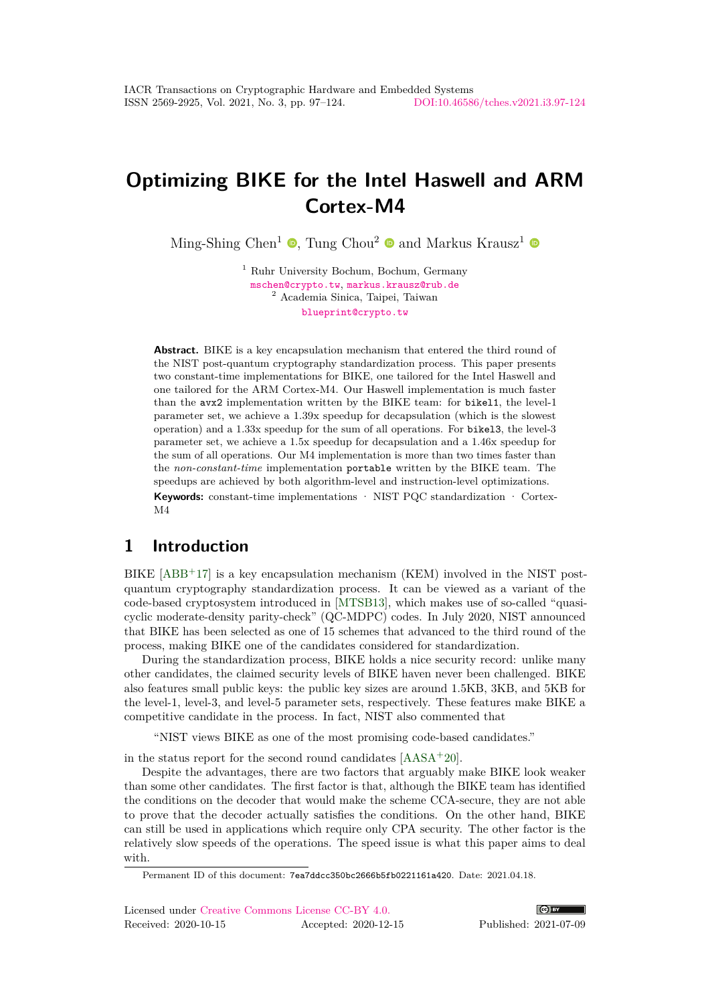# **Optimizing BIKE for the Intel Haswell and ARM Cortex-M4**

Ming-Shing Chen<sup>1</sup>  $\bullet$ [,](https://orcid.org/0000-0002-2420-496X) Tung Chou<sup>2</sup>  $\bullet$  and Markus Krausz<sup>1</sup>

<sup>1</sup> Ruhr University Bochum, Bochum, Germany [mschen@crypto.tw](mailto:mschen@crypto.tw), [markus.krausz@rub.de](mailto:markus.krausz@rub.de) <sup>2</sup> Academia Sinica, Taipei, Taiwan [blueprint@crypto.tw](mailto:blueprint@crypto.tw)

**Abstract.** BIKE is a key encapsulation mechanism that entered the third round of the NIST post-quantum cryptography standardization process. This paper presents two constant-time implementations for BIKE, one tailored for the Intel Haswell and one tailored for the ARM Cortex-M4. Our Haswell implementation is much faster than the avx2 implementation written by the BIKE team: for bikel1, the level-1 parameter set, we achieve a 1.39x speedup for decapsulation (which is the slowest operation) and a 1.33x speedup for the sum of all operations. For bikel3, the level-3 parameter set, we achieve a 1.5x speedup for decapsulation and a 1.46x speedup for the sum of all operations. Our M4 implementation is more than two times faster than the *non-constant-time* implementation portable written by the BIKE team. The speedups are achieved by both algorithm-level and instruction-level optimizations.

**Keywords:** constant-time implementations · NIST PQC standardization · Cortex-M4

# **1 Introduction**

BIKE [\[ABB](#page-23-0)<sup>+</sup>17] is a key encapsulation mechanism (KEM) involved in the NIST postquantum cryptography standardization process. It can be viewed as a variant of the code-based cryptosystem introduced in [\[MTSB13\]](#page-25-0), which makes use of so-called "quasicyclic moderate-density parity-check" (QC-MDPC) codes. In July 2020, NIST announced that BIKE has been selected as one of 15 schemes that advanced to the third round of the process, making BIKE one of the candidates considered for standardization.

During the standardization process, BIKE holds a nice security record: unlike many other candidates, the claimed security levels of BIKE haven never been challenged. BIKE also features small public keys: the public key sizes are around 1.5KB, 3KB, and 5KB for the level-1, level-3, and level-5 parameter sets, respectively. These features make BIKE a competitive candidate in the process. In fact, NIST also commented that

"NIST views BIKE as one of the most promising code-based candidates."

in the status report for the second round candidates [\[AASA](#page-23-1)<sup>+</sup>20].

Despite the advantages, there are two factors that arguably make BIKE look weaker than some other candidates. The first factor is that, although the BIKE team has identified the conditions on the decoder that would make the scheme CCA-secure, they are not able to prove that the decoder actually satisfies the conditions. On the other hand, BIKE can still be used in applications which require only CPA security. The other factor is the relatively slow speeds of the operations. The speed issue is what this paper aims to deal with.



Permanent ID of this document: 7ea7ddcc350bc2666b5fb0221161a420. Date: 2021.04.18.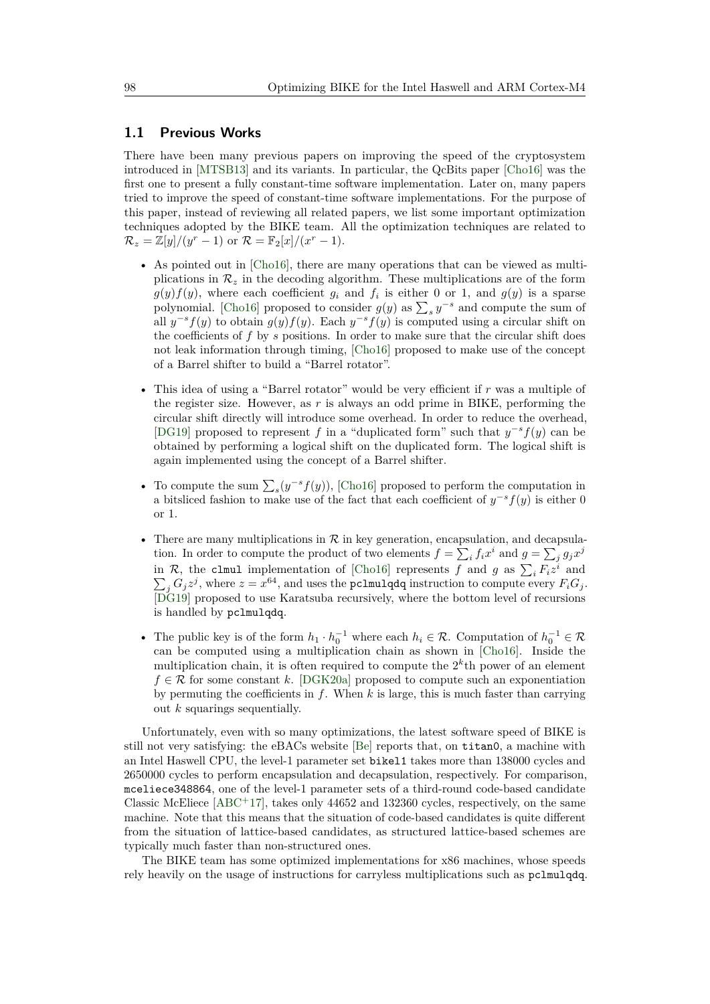#### **1.1 Previous Works**

There have been many previous papers on improving the speed of the cryptosystem introduced in [\[MTSB13\]](#page-25-0) and its variants. In particular, the QcBits paper [\[Cho16\]](#page-24-0) was the first one to present a fully constant-time software implementation. Later on, many papers tried to improve the speed of constant-time software implementations. For the purpose of this paper, instead of reviewing all related papers, we list some important optimization techniques adopted by the BIKE team. All the optimization techniques are related to  $\mathcal{R}_z = \mathbb{Z}[y]/(y^r - 1)$  or  $\mathcal{R} = \mathbb{F}_2[x]/(x^r - 1)$ .

- As pointed out in [\[Cho16\]](#page-24-0), there are many operations that can be viewed as multiplications in  $\mathcal{R}_z$  in the decoding algorithm. These multiplications are of the form  $g(y)f(y)$ , where each coefficient  $g_i$  and  $f_i$  is either 0 or 1, and  $g(y)$  is a sparse polynomial. [\[Cho16\]](#page-24-0) proposed to consider  $g(y)$  as  $\sum_{s} y^{-s}$  and compute the sum of all  $y^{-s} f(y)$  to obtain  $g(y) f(y)$ . Each  $y^{-s} f(y)$  is computed using a circular shift on the coefficients of *f* by *s* positions. In order to make sure that the circular shift does not leak information through timing, [\[Cho16\]](#page-24-0) proposed to make use of the concept of a Barrel shifter to build a "Barrel rotator".
- This idea of using a "Barrel rotator" would be very efficient if *r* was a multiple of the register size. However, as *r* is always an odd prime in BIKE, performing the circular shift directly will introduce some overhead. In order to reduce the overhead, [\[DG19\]](#page-24-1) proposed to represent *f* in a "duplicated form" such that  $y^{-s}f(y)$  can be obtained by performing a logical shift on the duplicated form. The logical shift is again implemented using the concept of a Barrel shifter.
- To compute the sum  $\sum_{s}(y^{-s}f(y))$ , [\[Cho16\]](#page-24-0) proposed to perform the computation in a bitsliced fashion to make use of the fact that each coefficient of  $y^{-s}f(y)$  is either 0 or 1.
- There are many multiplications in  $R$  in key generation, encapsulation, and decapsulation. In order to compute the product of two elements  $f = \sum_i f_i x^i$  and  $g = \sum_j g_j x^j$ in R, the clmul implementation of [\[Cho16\]](#page-24-0) represents f and g as  $\sum_i F_i z^i$  $\sum$ and  $j$   $G_j z^j$ , where  $z = x^{64}$ , and uses the pclmulqdq instruction to compute every  $F_i G_j$ . [\[DG19\]](#page-24-1) proposed to use Karatsuba recursively, where the bottom level of recursions is handled by pclmulqdq.
- The public key is of the form  $h_1 \cdot h_0^{-1}$  where each  $h_i \in \mathcal{R}$ . Computation of  $h_0^{-1} \in \mathcal{R}$ can be computed using a multiplication chain as shown in [\[Cho16\]](#page-24-0). Inside the multiplication chain, it is often required to compute the  $2<sup>k</sup>$ <sup>th</sup> power of an element  $f \in \mathcal{R}$  for some constant *k*. [\[DGK20a\]](#page-24-2) proposed to compute such an exponentiation by permuting the coefficients in *f*. When *k* is large, this is much faster than carrying out *k* squarings sequentially.

Unfortunately, even with so many optimizations, the latest software speed of BIKE is still not very satisfying: the eBACs website [\[Be\]](#page-24-3) reports that, on titan0, a machine with an Intel Haswell CPU, the level-1 parameter set bikel1 takes more than 138000 cycles and 2650000 cycles to perform encapsulation and decapsulation, respectively. For comparison, mceliece348864, one of the level-1 parameter sets of a third-round code-based candidate Classic McEliece  $[ABC^+17]$  $[ABC^+17]$ , takes only 44652 and 132360 cycles, respectively, on the same machine. Note that this means that the situation of code-based candidates is quite different from the situation of lattice-based candidates, as structured lattice-based schemes are typically much faster than non-structured ones.

The BIKE team has some optimized implementations for x86 machines, whose speeds rely heavily on the usage of instructions for carryless multiplications such as pclmulqdq.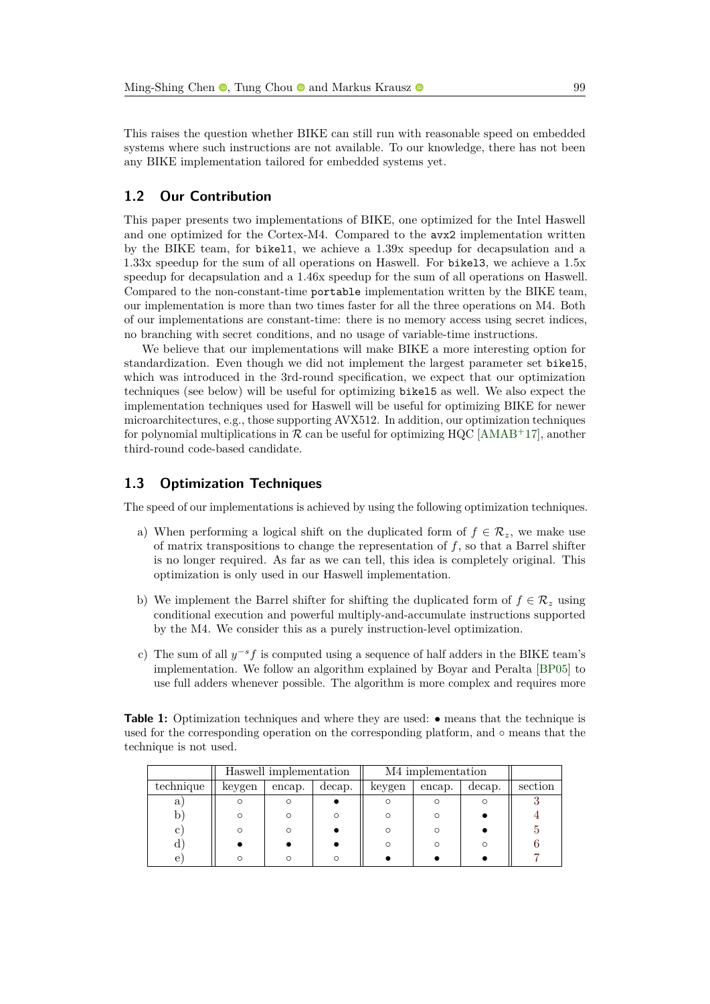This raises the question whether BIKE can still run with reasonable speed on embedded systems where such instructions are not available. To our knowledge, there has not been any BIKE implementation tailored for embedded systems yet.

### **1.2 Our Contribution**

This paper presents two implementations of BIKE, one optimized for the Intel Haswell and one optimized for the Cortex-M4. Compared to the avx2 implementation written by the BIKE team, for bikel1, we achieve a 1.39x speedup for decapsulation and a 1.33x speedup for the sum of all operations on Haswell. For bikel3, we achieve a 1.5x speedup for decapsulation and a 1.46x speedup for the sum of all operations on Haswell. Compared to the non-constant-time portable implementation written by the BIKE team, our implementation is more than two times faster for all the three operations on M4. Both of our implementations are constant-time: there is no memory access using secret indices, no branching with secret conditions, and no usage of variable-time instructions.

We believe that our implementations will make BIKE a more interesting option for standardization. Even though we did not implement the largest parameter set bikel5, which was introduced in the 3rd-round specification, we expect that our optimization techniques (see below) will be useful for optimizing bikel5 as well. We also expect the implementation techniques used for Haswell will be useful for optimizing BIKE for newer microarchitectures, e.g., those supporting AVX512. In addition, our optimization techniques for polynomial multiplications in  $\mathcal R$  can be useful for optimizing HQC [\[AMAB](#page-24-4)<sup>+</sup>17], another third-round code-based candidate.

### **1.3 Optimization Techniques**

The speed of our implementations is achieved by using the following optimization techniques.

- a) When performing a logical shift on the duplicated form of  $f \in \mathcal{R}_z$ , we make use of matrix transpositions to change the representation of *f*, so that a Barrel shifter is no longer required. As far as we can tell, this idea is completely original. This optimization is only used in our Haswell implementation.
- b) We implement the Barrel shifter for shifting the duplicated form of  $f \in \mathcal{R}_z$  using conditional execution and powerful multiply-and-accumulate instructions supported by the M4. We consider this as a purely instruction-level optimization.
- c) The sum of all *y* <sup>−</sup>*sf* is computed using a sequence of half adders in the BIKE team's implementation. We follow an algorithm explained by Boyar and Peralta [\[BP05\]](#page-24-5) to use full adders whenever possible. The algorithm is more complex and requires more

<span id="page-2-0"></span>

| <b>Table 1:</b> Optimization techniques and where they are used: $\bullet$ means that the technique is |  |
|--------------------------------------------------------------------------------------------------------|--|
| used for the corresponding operation on the corresponding platform, and $\circ$ means that the         |  |
| technique is not used.                                                                                 |  |

|           | Haswell implementation |        | M4 implementation |        |        |        |         |
|-----------|------------------------|--------|-------------------|--------|--------|--------|---------|
| technique | keygen                 | encap. | decap.            | keygen | encap. | decap. | section |
| a l       |                        |        |                   |        |        |        |         |
|           |                        |        |                   |        |        |        |         |
|           |                        |        |                   |        |        |        |         |
|           |                        |        |                   |        |        |        |         |
| e         |                        |        |                   |        |        |        |         |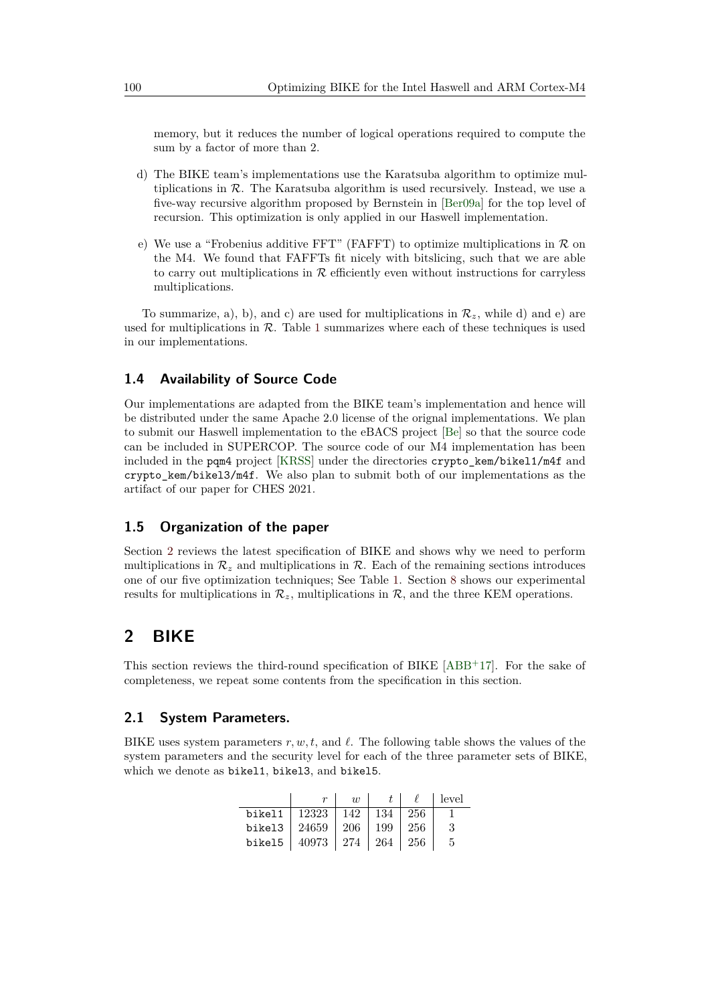memory, but it reduces the number of logical operations required to compute the sum by a factor of more than 2.

- d) The BIKE team's implementations use the Karatsuba algorithm to optimize multiplications in  $R$ . The Karatsuba algorithm is used recursively. Instead, we use a five-way recursive algorithm proposed by Bernstein in [\[Ber09a\]](#page-24-6) for the top level of recursion. This optimization is only applied in our Haswell implementation.
- e) We use a "Frobenius additive FFT" (FAFFT) to optimize multiplications in  $\mathcal R$  on the M4. We found that FAFFTs fit nicely with bitslicing, such that we are able to carry out multiplications in  $R$  efficiently even without instructions for carryless multiplications.

To summarize, a), b), and c) are used for multiplications in  $\mathcal{R}_z$ , while d) and e) are used for multiplications in  $R$ . Table [1](#page-2-0) summarizes where each of these techniques is used in our implementations.

### **1.4 Availability of Source Code**

Our implementations are adapted from the BIKE team's implementation and hence will be distributed under the same Apache 2.0 license of the orignal implementations. We plan to submit our Haswell implementation to the eBACS project [\[Be\]](#page-24-3) so that the source code can be included in SUPERCOP. The source code of our M4 implementation has been included in the pqm4 project [\[KRSS\]](#page-25-1) under the directories crypto\_kem/bikel1/m4f and crypto\_kem/bikel3/m4f. We also plan to submit both of our implementations as the artifact of our paper for CHES 2021.

### **1.5 Organization of the paper**

Section [2](#page-3-0) reviews the latest specification of BIKE and shows why we need to perform multiplications in  $\mathcal{R}_z$  and multiplications in  $\mathcal{R}$ . Each of the remaining sections introduces one of our five optimization techniques; See Table [1.](#page-2-0) Section [8](#page-21-0) shows our experimental results for multiplications in  $\mathcal{R}_z$ , multiplications in  $\mathcal{R}$ , and the three KEM operations.

# <span id="page-3-0"></span>**2 BIKE**

This section reviews the third-round specification of BIKE [\[ABB](#page-23-0)<sup>+</sup>17]. For the sake of completeness, we repeat some contents from the specification in this section.

### **2.1 System Parameters.**

BIKE uses system parameters  $r, w, t$ , and  $\ell$ . The following table shows the values of the system parameters and the security level for each of the three parameter sets of BIKE, which we denote as bikel1, bikel3, and bikel5.

|                                          | $\overline{u}$ |                   |      | level |
|------------------------------------------|----------------|-------------------|------|-------|
| bikel $1 \mid 12323$                     |                | $142$   134   256 |      |       |
| bikel $3 \mid 24659$                     |                | $206$   199       | -256 |       |
| bikel5   $40973$   $274$   $264$   $256$ |                |                   |      |       |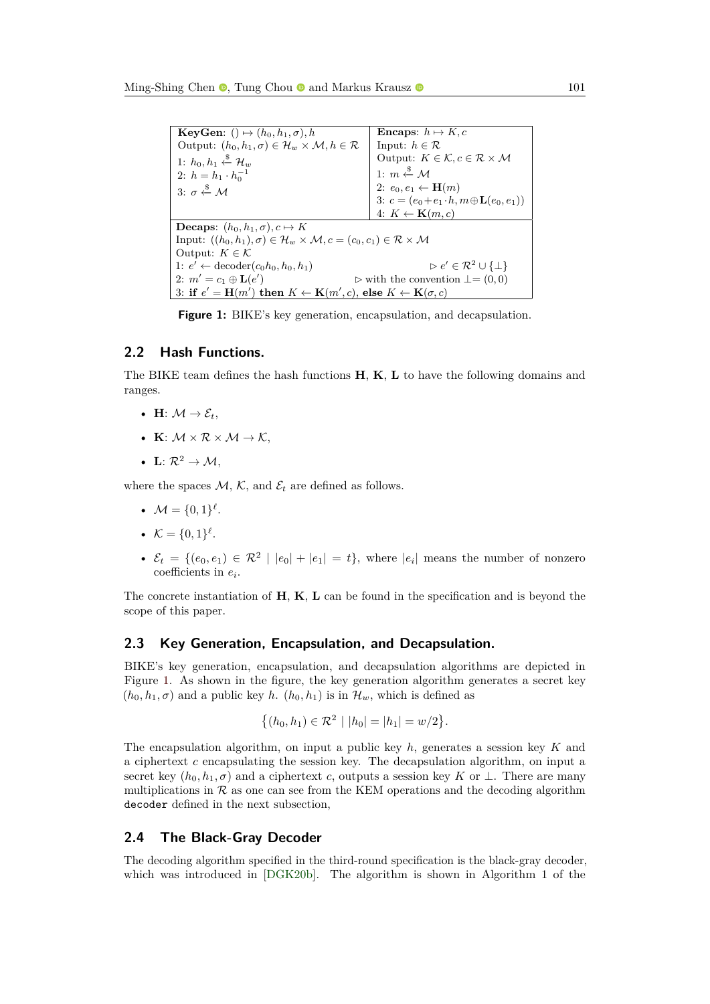<span id="page-4-0"></span>

| <b>KeyGen:</b> () $\mapsto$ $(h_0, h_1, \sigma)$ , h                                                                  | <b>Encaps:</b> $h \mapsto K, c$                                   |  |  |  |  |
|-----------------------------------------------------------------------------------------------------------------------|-------------------------------------------------------------------|--|--|--|--|
| Output: $(h_0, h_1, \sigma) \in \mathcal{H}_w \times \mathcal{M}, h \in \mathcal{R}$                                  | Input: $h \in \mathcal{R}$                                        |  |  |  |  |
| 1: $h_0, h_1 \overset{\$}{\leftarrow} \mathcal{H}_w$                                                                  | Output: $K \in \mathcal{K}, c \in \mathcal{R} \times \mathcal{M}$ |  |  |  |  |
| 2: $h = h_1 \cdot h_0^{-1}$                                                                                           | 1: $m \stackrel{\$}{\leftarrow} \mathcal{M}$                      |  |  |  |  |
| 3: $\sigma \stackrel{\$}{\leftarrow} M$                                                                               | 2: $e_0, e_1 \leftarrow \mathbf{H}(m)$                            |  |  |  |  |
|                                                                                                                       | 3: $c = (e_0 + e_1 \cdot h, m \oplus \mathbf{L}(e_0, e_1))$       |  |  |  |  |
|                                                                                                                       | 4: $K \leftarrow \mathbf{K}(m, c)$                                |  |  |  |  |
| <b>Decaps:</b> $(h_0, h_1, \sigma), c \mapsto K$                                                                      |                                                                   |  |  |  |  |
| Input: $((h_0, h_1), \sigma) \in \mathcal{H}_w \times \mathcal{M}, c = (c_0, c_1) \in \mathcal{R} \times \mathcal{M}$ |                                                                   |  |  |  |  |
| Output: $K \in \mathcal{K}$                                                                                           |                                                                   |  |  |  |  |
| 1: $e' \leftarrow \text{decoder}(c_0 h_0, h_0, h_1)$                                                                  | $\triangleright e' \in \mathcal{R}^2 \cup \{\perp\}$              |  |  |  |  |
| 2: $m' = c_1 \oplus L(e')$                                                                                            | $\triangleright$ with the convention $\bot = (0,0)$               |  |  |  |  |
| 3: if $e' = H(m')$ then $K \leftarrow K(m', c)$ , else $K \leftarrow K(\sigma, c)$                                    |                                                                   |  |  |  |  |

**Figure 1:** BIKE's key generation, encapsulation, and decapsulation.

### **2.2 Hash Functions.**

The BIKE team defines the hash functions **H**, **K**, **L** to have the following domains and ranges.

- **H**:  $\mathcal{M} \rightarrow \mathcal{E}_t$ ,
- **K**:  $M \times R \times M \rightarrow K$ ,
- **L**:  $\mathcal{R}^2 \to \mathcal{M}$ ,

where the spaces  $M$ ,  $K$ , and  $\mathcal{E}_t$  are defined as follows.

- $M = \{0, 1\}^{\ell}$ .
- $\mathcal{K} = \{0, 1\}^{\ell}$ .
- $\mathcal{E}_t = \{ (e_0, e_1) \in \mathbb{R}^2 \mid |e_0| + |e_1| = t \}, \text{ where } |e_i| \text{ means the number of nonzero } t \text{ for } i = 1, 2, \ldots$ coefficients in *e<sup>i</sup>* .

The concrete instantiation of **H**, **K**, **L** can be found in the specification and is beyond the scope of this paper.

#### **2.3 Key Generation, Encapsulation, and Decapsulation.**

BIKE's key generation, encapsulation, and decapsulation algorithms are depicted in Figure [1.](#page-4-0) As shown in the figure, the key generation algorithm generates a secret key  $(h_0, h_1, \sigma)$  and a public key *h*.  $(h_0, h_1)$  is in  $\mathcal{H}_w$ , which is defined as

$$
\{(h_0, h_1) \in \mathcal{R}^2 \mid |h_0| = |h_1| = w/2\}.
$$

The encapsulation algorithm, on input a public key *h*, generates a session key *K* and a ciphertext *c* encapsulating the session key. The decapsulation algorithm, on input a secret key  $(h_0, h_1, \sigma)$  and a ciphertext *c*, outputs a session key *K* or  $\perp$ . There are many multiplications in  $\mathcal R$  as one can see from the KEM operations and the decoding algorithm decoder defined in the next subsection,

### <span id="page-4-1"></span>**2.4 The Black-Gray Decoder**

The decoding algorithm specified in the third-round specification is the black-gray decoder, which was introduced in [\[DGK20b\]](#page-25-2). The algorithm is shown in Algorithm 1 of the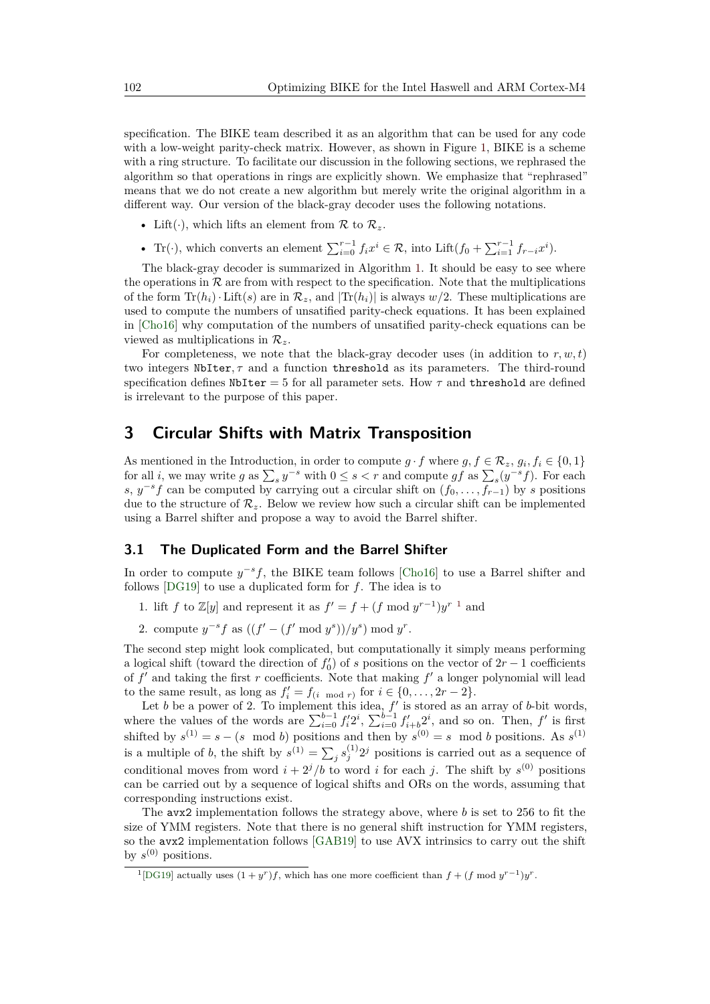specification. The BIKE team described it as an algorithm that can be used for any code with a low-weight parity-check matrix. However, as shown in Figure [1,](#page-4-0) BIKE is a scheme with a ring structure. To facilitate our discussion in the following sections, we rephrased the algorithm so that operations in rings are explicitly shown. We emphasize that "rephrased" means that we do not create a new algorithm but merely write the original algorithm in a different way. Our version of the black-gray decoder uses the following notations.

- Lift( $\cdot$ ), which lifts an element from  $\mathcal R$  to  $\mathcal R_z$ .
- Tr(·), which converts an element  $\sum_{i=0}^{r-1} f_i x^i \in \mathcal{R}$ , into Lift $(f_0 + \sum_{i=1}^{r-1} f_{r-i} x^i)$ .

The black-gray decoder is summarized in Algorithm [1.](#page-6-0) It should be easy to see where the operations in  $R$  are from with respect to the specification. Note that the multiplications of the form  $\text{Tr}(h_i) \cdot \text{Lift}(s)$  are in  $\mathcal{R}_z$ , and  $|\text{Tr}(h_i)|$  is always  $w/2$ . These multiplications are used to compute the numbers of unsatified parity-check equations. It has been explained in [\[Cho16\]](#page-24-0) why computation of the numbers of unsatified parity-check equations can be viewed as multiplications in  $\mathcal{R}_z$ .

For completeness, we note that the black-gray decoder uses (in addition to  $r, w, t$ ) two integers NbIter*, τ* and a function threshold as its parameters. The third-round specification defines  $N$ bIter = 5 for all parameter sets. How  $\tau$  and threshold are defined is irrelevant to the purpose of this paper.

# <span id="page-5-0"></span>**3 Circular Shifts with Matrix Transposition**

As mentioned in the Introduction, in order to compute  $g \cdot f$  where  $g, f \in \mathcal{R}_z$ ,  $g_i, f_i \in \{0, 1\}$ for all *i*, we may write *g* as  $\sum_{s} y^{-s}$  with  $0 \le s < r$  and compute *gf* as  $\sum_{s} (y^{-s} f)$ . For each *s*,  $y^{-s}f$  can be computed by carrying out a circular shift on  $(f_0, \ldots, f_{r-1})$  by *s* positions due to the structure of  $\mathcal{R}_z$ . Below we review how such a circular shift can be implemented using a Barrel shifter and propose a way to avoid the Barrel shifter.

#### <span id="page-5-2"></span>**3.1 The Duplicated Form and the Barrel Shifter**

In order to compute  $y^{-s}f$ , the BIKE team follows [\[Cho16\]](#page-24-0) to use a Barrel shifter and follows [\[DG19\]](#page-24-1) to use a duplicated form for *f*. The idea is to

- [1](#page-5-1). lift *f* to  $\mathbb{Z}[y]$  and represent it as  $f' = f + (f \mod y^{r-1})y^{r-1}$  and
- 2. compute  $y^{-s} f$  as  $((f' (f' \mod y^s))/y^s) \mod y^r$ .

The second step might look complicated, but computationally it simply means performing a logical shift (toward the direction of  $f_0'$ ) of *s* positions on the vector of  $2r - 1$  coefficients of  $f'$  and taking the first  $r$  coefficients. Note that making  $f'$  a longer polynomial will lead to the same result, as long as  $f_i' = f_{(i \mod r)}$  for  $i \in \{0, \ldots, 2r - 2\}$ .

Let  $b$  be a power of 2. To implement this idea,  $f'$  is stored as an array of  $b$ -bit words, where the values of the words are  $\sum_{i=0}^{b-1} f'_i 2^i$ ,  $\sum_{i=0}^{b-1} f'_{i+b} 2^i$ , and so on. Then,  $f'$  is first shifted by  $s^{(1)} = s - (s \mod b)$  positions and then by  $s^{(0)} = s \mod b$  positions. As  $s^{(1)}$ is a multiple of *b*, the shift by  $s^{(1)} = \sum_j s_j^{(1)} 2^j$  positions is carried out as a sequence of conditional moves from word  $i + 2^{j}/b$  to word *i* for each *j*. The shift by  $s^{(0)}$  positions can be carried out by a sequence of logical shifts and ORs on the words, assuming that corresponding instructions exist.

The avx2 implementation follows the strategy above, where *b* is set to 256 to fit the size of YMM registers. Note that there is no general shift instruction for YMM registers, so the avx2 implementation follows [\[GAB19\]](#page-25-3) to use AVX intrinsics to carry out the shift by  $s^{(0)}$  positions.

<span id="page-5-1"></span><sup>&</sup>lt;sup>1</sup>[\[DG19\]](#page-24-1) actually uses  $(1 + y<sup>r</sup>)f$ , which has one more coefficient than  $f + (f \mod y<sup>r-1</sup>)y<sup>r</sup>$ .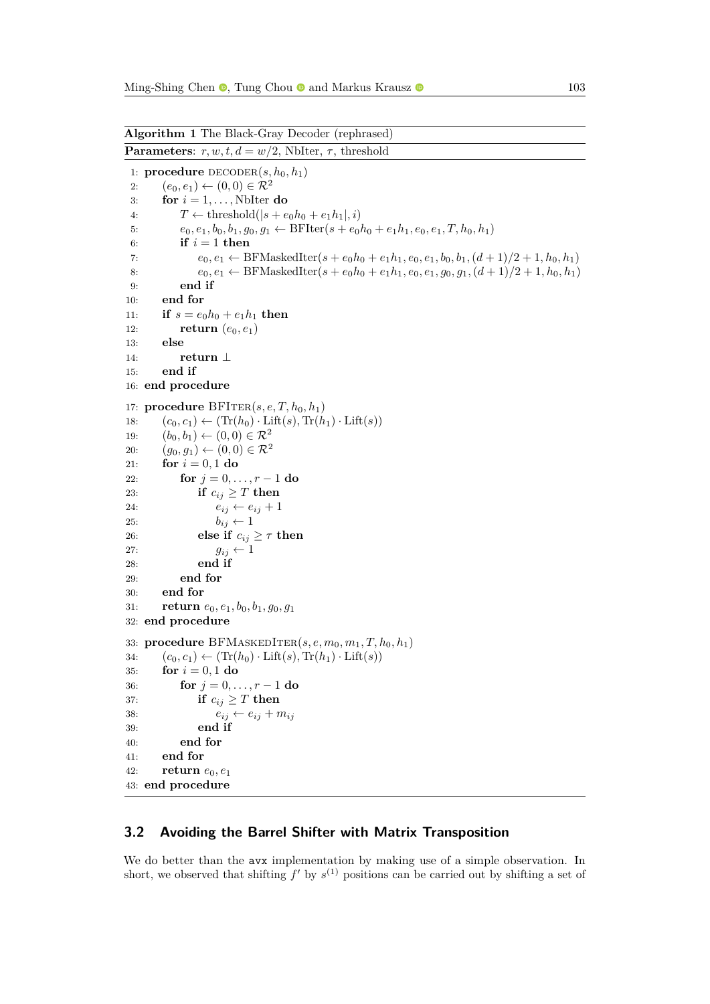```
Algorithm 1 The Black-Gray Decoder (rephrased)
Parameters: r, w, t, d = w/2, NbIter, \tau, threshold
 1: procedure DECODER(s, h_0, h_1)2: (e_0, e_1) \leftarrow (0, 0) \in \mathcal{R}^23: for i = 1, \ldots, NbIter do
 4: T \leftarrow \text{threshold}(|s + e_0 h_0 + e_1 h_1|, i)5: e_0, e_1, b_0, b_1, g_0, g_1 \leftarrow \text{BFlter}(s + e_0 h_0 + e_1 h_1, e_0, e_1, T, h_0, h_1)6: if i = 1 then
 7: e_0, e_1 \leftarrow \text{BFMaskedIter}(s + e_0h_0 + e_1h_1, e_0, e_1, b_0, b_1, (d+1)/2 + 1, h_0, h_1)8: e_0, e_1 \leftarrow \text{BFMaskedIter}(s + e_0h_0 + e_1h_1, e_0, e_1, g_0, g_1, (d+1)/2 + 1, h_0, h_1)9: end if
10: end for
11: if s = e_0 h_0 + e_1 h_1 then
12: return (e_0, e_1)13: else
14: return ⊥
15: end if
16: end procedure
17: procedure BFITER(s, e, T, h_0, h_1)18: (c_0, c_1) \leftarrow (\text{Tr}(h_0) \cdot \text{Lift}(s), \text{Tr}(h_1) \cdot \text{Lift}(s))19: (b_0, b_1) \leftarrow (0, 0) \in \mathcal{R}^220: (g_0, g_1) \leftarrow (0, 0) \in \mathcal{R}^221: for i = 0, 1 do
22: for j = 0, ..., r - 1 do
23: if c_{ij} \geq T then
24: e_{ij} \leftarrow e_{ij} + 125: b_{ij} \leftarrow 126: else if c_{ij} \geq \tau then
27: g_{ij} \leftarrow 128: end if
29: end for
30: end for
31: return e0, e1, b0, b1, g0, g1
32: end procedure
33: procedure BFMASKEDITER(s, e, m_0, m_1, T, h_0, h_1)34: (c_0, c_1) \leftarrow (\text{Tr}(h_0) \cdot \text{Lift}(s), \text{Tr}(h_1) \cdot \text{Lift}(s))35: for i = 0, 1 do
36: for j = 0, ..., r - 1 do
37: if c_{ij} \geq T then
38: e_{ij} \leftarrow e_{ij} + m_{ij}39: end if
40: end for
41: end for
42: return e0, e1
43: end procedure
```
#### <span id="page-6-1"></span>**3.2 Avoiding the Barrel Shifter with Matrix Transposition**

We do better than the **avx** implementation by making use of a simple observation. In short, we observed that shifting  $f'$  by  $s^{(1)}$  positions can be carried out by shifting a set of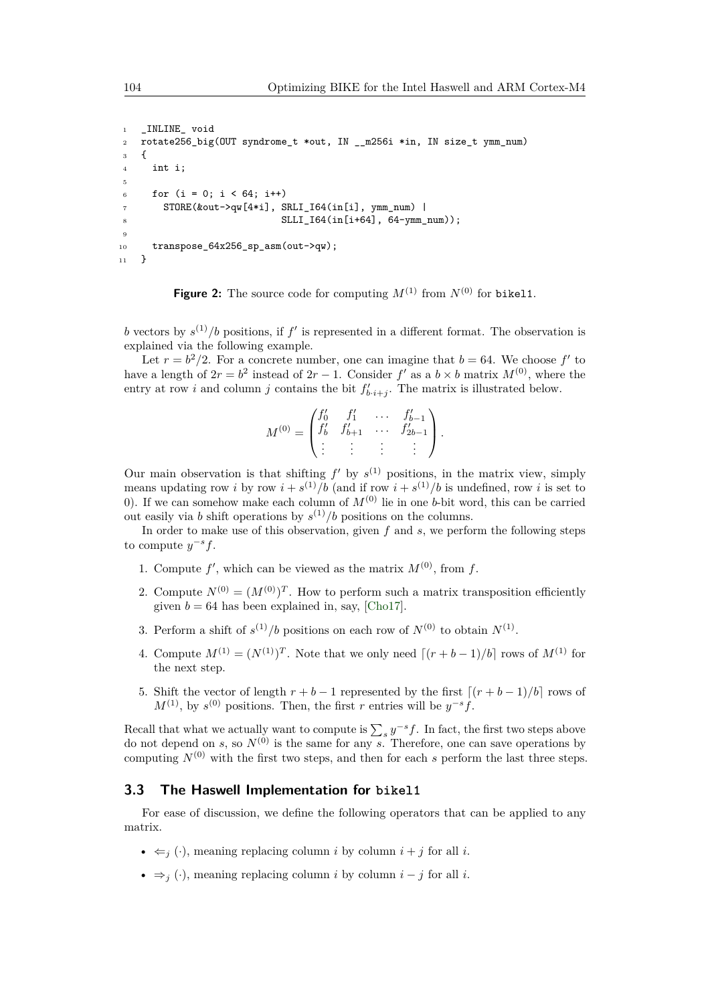```
1 _INLINE_ void
2 rotate256_big(OUT syndrome_t *out, IN __m256i *in, IN size_t ymm_num)
3 {
4 int i;
5
6 for (i = 0; i < 64; i++)7 STORE(&out->qw[4*i], SRLI_I64(in[i], ymm_num) |
8 SLLI_I64(in[i+64], 64-ymm_num));
9
10 transpose_64x256_sp_asm(out->qw);
11 }
```
**Figure 2:** The source code for computing  $M^{(1)}$  from  $N^{(0)}$  for bikel1.

b vectors by  $s^{(1)}/b$  positions, if  $f'$  is represented in a different format. The observation is explained via the following example.

Let  $r = b^2/2$ . For a concrete number, one can imagine that  $b = 64$ . We choose f' to have a length of  $2r = b^2$  instead of  $2r - 1$ . Consider  $f'$  as a  $b \times b$  matrix  $M^{(0)}$ , where the entry at row *i* and column *j* contains the bit  $f'_{b \cdot i+j}$ . The matrix is illustrated below.

$$
M^{(0)} = \begin{pmatrix} f'_0 & f'_1 & \cdots & f'_{b-1} \\ f'_b & f'_{b+1} & \cdots & f'_{2b-1} \\ \vdots & \vdots & \vdots & \vdots \end{pmatrix}.
$$

Our main observation is that shifting  $f'$  by  $s^{(1)}$  positions, in the matrix view, simply means updating row *i* by row  $i + s^{(1)}/b$  (and if row  $i + s^{(1)}/b$  is undefined, row *i* is set to 0). If we can somehow make each column of  $M^{(0)}$  lie in one *b*-bit word, this can be carried out easily via *b* shift operations by  $s^{(1)}/b$  positions on the columns.

In order to make use of this observation, given *f* and *s*, we perform the following steps to compute  $y^{-s}f$ .

- 1. Compute  $f'$ , which can be viewed as the matrix  $M^{(0)}$ , from f.
- 2. Compute  $N^{(0)} = (M^{(0)})^T$ . How to perform such a matrix transposition efficiently given  $b = 64$  has been explained in, say, [\[Cho17\]](#page-24-7).
- 3. Perform a shift of  $s^{(1)}/b$  positions on each row of  $N^{(0)}$  to obtain  $N^{(1)}$ .
- 4. Compute  $M^{(1)} = (N^{(1)})^T$ . Note that we only need  $[(r + b 1)/b]$  rows of  $M^{(1)}$  for the next step.
- 5. Shift the vector of length  $r + b 1$  represented by the first  $[(r + b 1)/b]$  rows of  $M^{(1)}$ , by  $s^{(0)}$  positions. Then, the first *r* entries will be  $y^{-s}f$ .

Recall that what we actually want to compute is  $\sum_{s} y^{-s} f$ . In fact, the first two steps above do not depend on  $s$ , so  $N^{(0)}$  is the same for any  $s$ . Therefore, one can save operations by computing  $N^{(0)}$  with the first two steps, and then for each *s* perform the last three steps.

#### **3.3 The Haswell Implementation for bikel1**

For ease of discussion, we define the following operators that can be applied to any matrix.

- $\bullet \leq_i (\cdot)$ , meaning replacing column *i* by column  $i + j$  for all *i*.
- $\Rightarrow$  *j* (·), meaning replacing column *i* by column *i* − *j* for all *i*.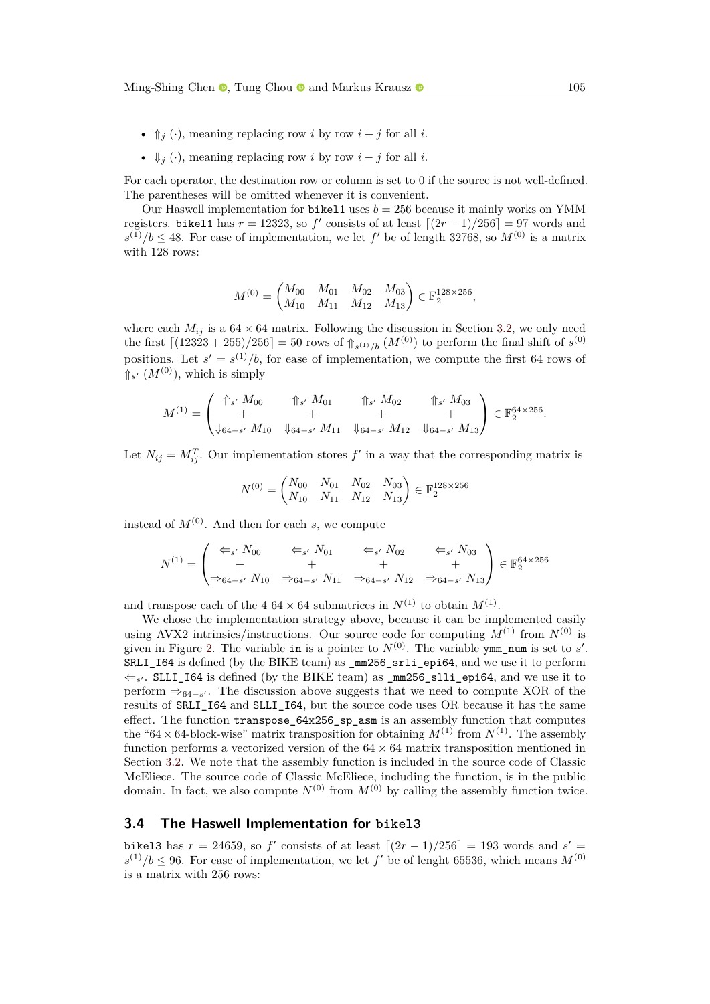- $\Uparrow_j (\cdot)$ , meaning replacing row *i* by row  $i + j$  for all *i*.
- $\Downarrow_i (\cdot)$ , meaning replacing row *i* by row  $i j$  for all *i*.

For each operator, the destination row or column is set to 0 if the source is not well-defined. The parentheses will be omitted whenever it is convenient.

Our Haswell implementation for bikel1 uses  $b = 256$  because it mainly works on YMM registers. bikel1 has  $r = 12323$ , so  $f'$  consists of at least  $\lfloor (2r - 1)/256 \rfloor = 97$  words and  $s^{(1)}/b \leq 48$ . For ease of implementation, we let f' be of length 32768, so  $M^{(0)}$  is a matrix with 128 rows:

$$
M^{(0)} = \begin{pmatrix} M_{00} & M_{01} & M_{02} & M_{03} \\ M_{10} & M_{11} & M_{12} & M_{13} \end{pmatrix} \in \mathbb{F}_2^{128 \times 256},
$$

where each  $M_{ij}$  is a  $64 \times 64$  matrix. Following the discussion in Section [3.2,](#page-6-1) we only need the first  $[(12323 + 255)/256] = 50$  rows of  $\frac{1}{1} s^{(1)}/b$  ( $M^{(0)}$ ) to perform the final shift of  $s^{(0)}$ positions. Let  $s' = s^{(1)}/b$ , for ease of implementation, we compute the first 64 rows of  $\mathcal{M}^{(0)}$ , which is simply

$$
M^{(1)} = \begin{pmatrix} \uparrow_{s'} M_{00} & \uparrow_{s'} M_{01} & \uparrow_{s'} M_{02} & \uparrow_{s'} M_{03} \\ + & + & + & + \\ \Downarrow_{64-s'} M_{10} & \Downarrow_{64-s'} M_{11} & \Downarrow_{64-s'} M_{12} & \Downarrow_{64-s'} M_{13} \end{pmatrix} \in \mathbb{F}_2^{64 \times 256}.
$$

Let  $N_{ij} = M_{ij}^T$ . Our implementation stores  $f'$  in a way that the corresponding matrix is

$$
N^{(0)} = \begin{pmatrix} N_{00} & N_{01} & N_{02} & N_{03} \\ N_{10} & N_{11} & N_{12} & N_{13} \end{pmatrix} \in \mathbb{F}_2^{128 \times 256}
$$

instead of  $M^{(0)}$ . And then for each *s*, we compute

$$
N^{(1)} = \begin{pmatrix} \Leftarrow_{s'} N_{00} & \Leftarrow_{s'} N_{01} & \Leftarrow_{s'} N_{02} & \Leftarrow_{s'} N_{03} \\ + & + & + & + \\ \Rightarrow_{64-s'} N_{10} & \Rightarrow_{64-s'} N_{11} & \Rightarrow_{64-s'} N_{12} & \Rightarrow_{64-s'} N_{13} \end{pmatrix} \in \mathbb{F}_2^{64 \times 256}
$$

and transpose each of the  $4.64 \times 64$  submatrices in  $N^{(1)}$  to obtain  $M^{(1)}$ .

We chose the implementation strategy above, because it can be implemented easily using AVX2 intrinsics/instructions. Our source code for computing  $M^{(1)}$  from  $N^{(0)}$  is given in Figure [2.](#page-7-0) The variable in is a pointer to  $N^{(0)}$ . The variable ymm\_num is set to *s'*. SRLI\_I64 is defined (by the BIKE team) as \_mm256\_srli\_epi64, and we use it to perform  $\Leftarrow$ <sub>s'</sub>. SLLI\_I64 is defined (by the BIKE team) as  $\text{\texttt{mm256\_slli\_epi64}}$ , and we use it to perform  $\Rightarrow_{64-s'}$ . The discussion above suggests that we need to compute XOR of the results of SRLI 164 and SLLI 164, but the source code uses OR because it has the same effect. The function transpose  $64x256$  sp asm is an assembly function that computes the "64 × 64-block-wise" matrix transposition for obtaining  $M^{(1)}$  from  $N^{(1)}$ . The assembly function performs a vectorized version of the  $64 \times 64$  matrix transposition mentioned in Section [3.2.](#page-6-1) We note that the assembly function is included in the source code of Classic McEliece. The source code of Classic McEliece, including the function, is in the public domain. In fact, we also compute  $N^{(0)}$  from  $M^{(0)}$  by calling the assembly function twice.

#### **3.4 The Haswell Implementation for bikel3**

bikel3 has  $r = 24659$ , so  $f'$  consists of at least  $\lfloor (2r - 1)/256 \rfloor = 193$  words and  $s' =$  $s^{(1)}/b \leq 96$ . For ease of implementation, we let f' be of lenght 65536, which means  $M^{(0)}$ is a matrix with 256 rows: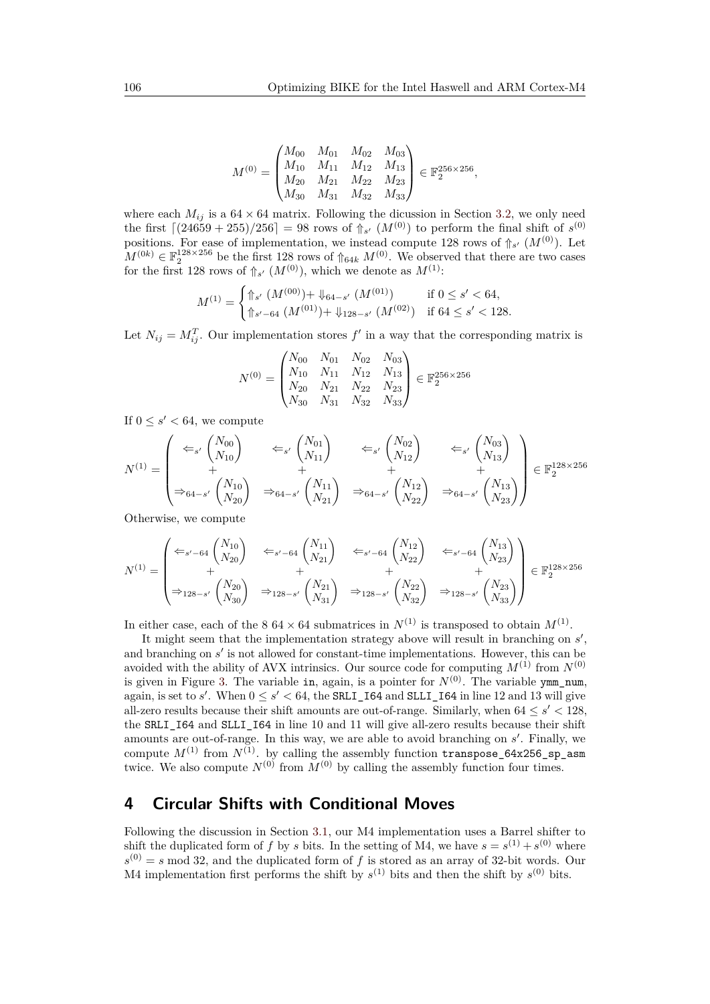$$
M^{(0)} = \begin{pmatrix} M_{00} & M_{01} & M_{02} & M_{03} \\ M_{10} & M_{11} & M_{12} & M_{13} \\ M_{20} & M_{21} & M_{22} & M_{23} \\ M_{30} & M_{31} & M_{32} & M_{33} \end{pmatrix} \in \mathbb{F}_2^{256 \times 256},
$$

where each  $M_{ij}$  is a  $64 \times 64$  matrix. Following the dicussion in Section [3.2,](#page-6-1) we only need the first  $\left[ (24659 + 255)/256 \right] = 98$  rows of  $\frac{1}{10} s'$  ( $M^{(0)}$ ) to perform the final shift of  $s^{(0)}$ positions. For ease of implementation, we instead compute 128 rows of  $\Uparrow_{s'} (M^{(0)})$ . Let  $M^{(0k)} \in \mathbb{F}_2^{128 \times 256}$  be the first 128 rows of  $\mathcal{L}_{64k}$   $M^{(0)}$ . We observed that there are two cases for the first 128 rows of  $\Uparrow_{s'} (M^{(0)})$ , which we denote as  $M^{(1)}$ :

$$
M^{(1)} = \begin{cases} \Uparrow_{s'} (M^{(00)}) + \Downarrow_{64-s'} (M^{(01)}) & \text{if } 0 \le s' < 64, \\ \Uparrow_{s'-64} (M^{(01)}) + \Downarrow_{128-s'} (M^{(02)}) & \text{if } 64 \le s' < 128. \end{cases}
$$

Let  $N_{ij} = M_{ij}^T$ . Our implementation stores  $f'$  in a way that the corresponding matrix is

$$
N^{(0)} = \begin{pmatrix} N_{00} & N_{01} & N_{02} & N_{03} \ N_{10} & N_{11} & N_{12} & N_{13} \ N_{20} & N_{21} & N_{22} & N_{23} \ N_{30} & N_{31} & N_{32} & N_{33} \end{pmatrix} \in \mathbb{F}_2^{256 \times 256}
$$

If  $0 \leq s' < 64$ , we compute

$$
N^{(1)} = \begin{pmatrix} \Leftarrow_{s'} {N_{00} \choose N_{10}} & \Leftarrow_{s'} {N_{01} \choose N_{11}} & \Leftarrow_{s'} {N_{02} \choose N_{12}} & \Leftarrow_{s'} {N_{03} \choose N_{13}} \\ + & + & + & + \\ \Rightarrow_{64-s'} {N_{10} \choose N_{20}} & \Rightarrow_{64-s'} {N_{11} \choose N_{21}} & \Rightarrow_{64-s'} {N_{12} \choose N_{22}} & \Rightarrow_{64-s'} {N_{13} \choose N_{23}} \end{pmatrix} \in \mathbb{F}_2^{128 \times 256}
$$

Otherwise, we compute

$$
N^{(1)} = \begin{pmatrix} \Leftarrow_{s'-64} {N_{10} \choose N_{20}} & \Leftarrow_{s'-64} {N_{11} \choose N_{21}} & \Leftarrow_{s'-64} {N_{12} \choose N_{22}} & \Leftarrow_{s'-64} {N_{13} \choose N_{23}} \\ + & + & + & + \\ \Rightarrow_{128-s'} {N_{20} \choose N_{30}} & \Rightarrow_{128-s'} {N_{21} \choose N_{31}} & \Rightarrow_{128-s'} {N_{22} \choose N_{32}} & \Rightarrow_{128-s'} {N_{23} \choose N_{33}} \end{pmatrix} \in \mathbb{F}_2^{128 \times 256}
$$

In either case, each of the  $8.64 \times 64$  submatrices in  $N^{(1)}$  is transposed to obtain  $M^{(1)}$ .

It might seem that the implementation strategy above will result in branching on  $s'$ , and branching on  $s'$  is not allowed for constant-time implementations. However, this can be avoided with the ability of AVX intrinsics. Our source code for computing  $M^{(1)}$  from  $N^{(0)}$ is given in Figure [3.](#page-10-0) The variable in, again, is a pointer for  $N^{(0)}$ . The variable ymm\_num, again, is set to  $s'$ . When  $0 \le s' < 64$ , the **SRLI\_I64** and **SLLI\_I64** in line 12 and 13 will give all-zero results because their shift amounts are out-of-range. Similarly, when  $64 \leq s' < 128$ , the SRLI 164 and SLLI 164 in line 10 and 11 will give all-zero results because their shift amounts are out-of-range. In this way, we are able to avoid branching on *s'*. Finally, we compute  $M^{(1)}$  from  $N^{(1)}$ . by calling the assembly function transpose 64x256 sp asm twice. We also compute  $N^{(0)}$  from  $M^{(0)}$  by calling the assembly function four times.

# <span id="page-9-0"></span>**4 Circular Shifts with Conditional Moves**

Following the discussion in Section [3.1,](#page-5-2) our M4 implementation uses a Barrel shifter to shift the duplicated form of *f* by *s* bits. In the setting of M4, we have  $s = s^{(1)} + s^{(0)}$  where  $s^{(0)} = s \mod 32$ , and the duplicated form of f is stored as an array of 32-bit words. Our M4 implementation first performs the shift by  $s^{(1)}$  bits and then the shift by  $s^{(0)}$  bits.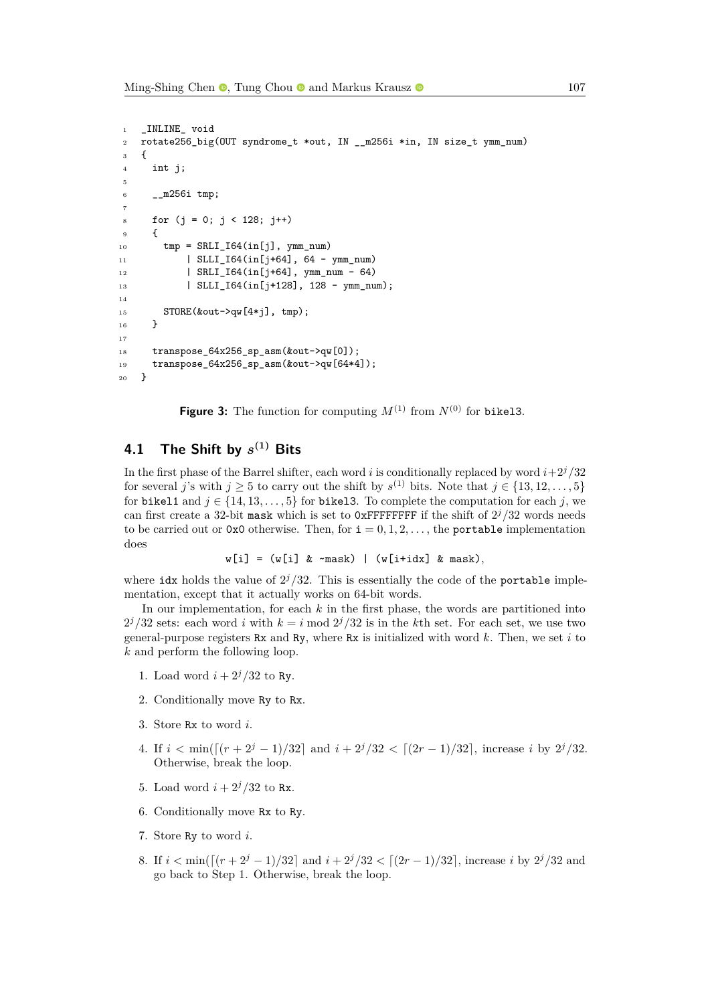```
1 _INLINE_ void
2 rotate256_big(OUT syndrome_t *out, IN __m256i *in, IN size_t ymm_num)
3 {
4 int j;
5
6 - m256i tmp;
7
8 for (j = 0; j < 128; j++)9 {
_{10} tmp = SRLI_I64(in[j], ymm_num)
11 | SLLI_I64(in[j+64], 64 - ymm_num)
12 | SRLI_I64(in[j+64], ymm_num - 64)
13 | SLLI_I64(in[j+128], 128 - ymm_num);
14
15 STORE(&out->qw[4*j], tmp);
16 }
17
18 transpose_64x256_sp_asm(&out->qw[0]);
19 transpose_64x256_sp_asm(&out->qw[64*4]);
20 }
```
**Figure 3:** The function for computing  $M^{(1)}$  from  $N^{(0)}$  for bikels.

# **4.1 The Shift by** *s* **(1) Bits**

In the first phase of the Barrel shifter, each word *i* is conditionally replaced by word *i*+2*j/*32 for several *j*'s with  $j \geq 5$  to carry out the shift by  $s^{(1)}$  bits. Note that  $j \in \{13, 12, \ldots, 5\}$ for bikel1 and  $j \in \{14, 13, \ldots, 5\}$  for bikel3. To complete the computation for each *j*, we can first create a 32-bit mask which is set to  $0x$ FFFFFFFFF if the shift of  $2^{j}/32$  words needs to be carried out or  $0x0$  otherwise. Then, for  $i = 0, 1, 2, \ldots$ , the portable implementation does

```
w[i] = (w[i] & ~mask) | (w[i+idx] & mask),
```
where idx holds the value of  $2^{j}/32$ . This is essentially the code of the **portable** implementation, except that it actually works on 64-bit words.

In our implementation, for each *k* in the first phase, the words are partitioned into  $2^{j}/32$  sets: each word *i* with  $k = i \mod 2^{j}/32$  is in the *k*th set. For each set, we use two general-purpose registers Rx and Ry, where Rx is initialized with word *k*. Then, we set *i* to *k* and perform the following loop.

- 1. Load word  $i + 2^j/32$  to Ry.
- 2. Conditionally move Ry to Rx.
- 3. Store Rx to word *i*.
- 4. If  $i < \min(\left[\frac{(r+2^j-1)}{32}\right]$  and  $i + \frac{2^j}{32} < \left[\frac{(2r-1)}{32}\right]$ , increase *i* by  $\frac{2^j}{32}$ . Otherwise, break the loop.
- 5. Load word  $i + 2^j/32$  to Rx.
- 6. Conditionally move Rx to Ry.
- 7. Store Ry to word *i*.
- 8. If  $i < \min(\left[\frac{(r+2^j-1)}{32}\right]$  and  $i + \frac{2^j}{32} < \left[\frac{(2r-1)}{32}\right]$ , increase *i* by  $\frac{2^j}{32}$  and go back to Step 1. Otherwise, break the loop.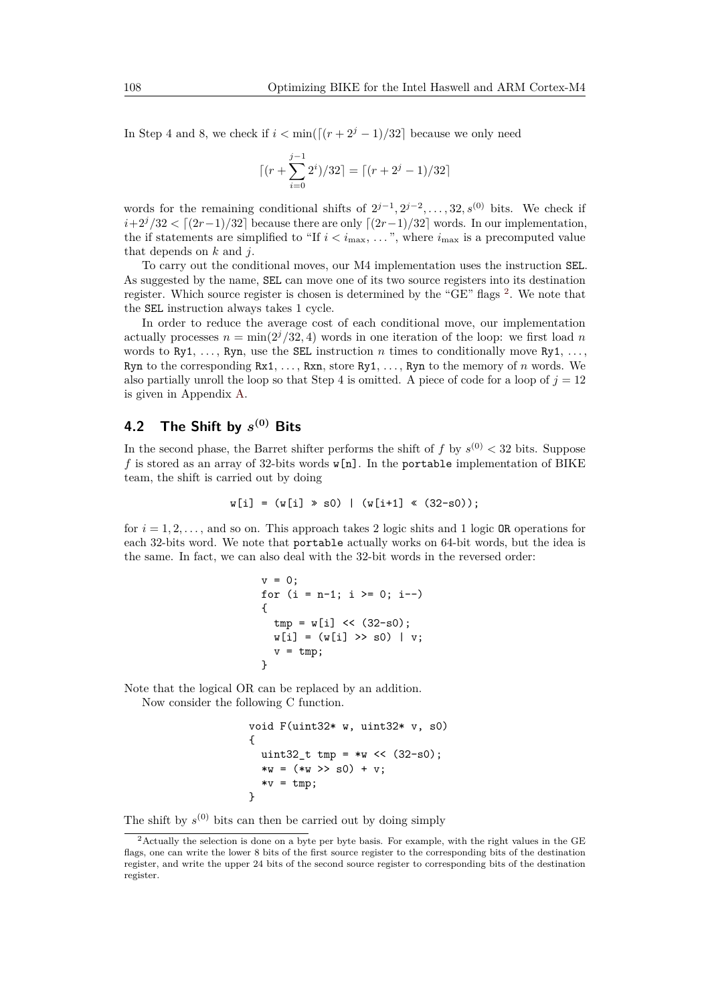In Step 4 and 8, we check if  $i < \min(\lceil (r + 2^{j} - 1)/32 \rceil)$  because we only need

$$
\lceil (r + \sum_{i=0}^{j-1} 2^i)/32 \rceil = \lceil (r + 2^j - 1)/32 \rceil
$$

words for the remaining conditional shifts of  $2^{j-1}, 2^{j-2}, \ldots, 32, s^{(0)}$  bits. We check if  $i+2^{j}/32 < [(2r-1)/32]$  because there are only  $[(2r-1)/32]$  words. In our implementation, the if statements are simplified to "If  $i < i_{\text{max}}$ , ...", where  $i_{\text{max}}$  is a precomputed value that depends on *k* and *j*.

To carry out the conditional moves, our M4 implementation uses the instruction SEL. As suggested by the name, SEL can move one of its two source registers into its destination register. Which source register is chosen is determined by the "GE" flags <sup>[2](#page-11-0)</sup>. We note that the SEL instruction always takes 1 cycle.

In order to reduce the average cost of each conditional move, our implementation actually processes  $n = \min(2^{j}/32, 4)$  words in one iteration of the loop: we first load *n* words to  $Rv1, \ldots, Rvn$ , use the SEL instruction *n* times to conditionally move  $Rv1, \ldots$ Ryn to the corresponding Rx1, *. . .* , Rxn, store Ry1, *. . .* , Ryn to the memory of *n* words. We also partially unroll the loop so that Step 4 is omitted. A piece of code for a loop of  $j = 12$ is given in Appendix [A.](#page-25-4)

# **4.2 The Shift by** *s* **(0) Bits**

In the second phase, the Barret shifter performs the shift of  $f$  by  $s^{(0)} < 32$  bits. Suppose  $f$  is stored as an array of 32-bits words  $\mathbf{w[n]}$ . In the portable implementation of BIKE team, the shift is carried out by doing

$$
w[i] = (w[i] \gg s0) | (w[i+1] \ll (32-s0));
$$

for  $i = 1, 2, \ldots$ , and so on. This approach takes 2 logic shits and 1 logic OR operations for each 32-bits word. We note that portable actually works on 64-bit words, but the idea is the same. In fact, we can also deal with the 32-bit words in the reversed order:

```
v = 0:
for (i = n-1; i > = 0; i--){
  tmp = w[i] \leq (32-s0);w[i] = (w[i] \gg s0) | v;
  v = \text{tmp};}
```
Note that the logical OR can be replaced by an addition. Now consider the following C function.

```
void F(uint32* w, uint32* v, s0)
{
 uint32_t tmp = >w \ll (32-s0);*w = (*w \gg s0) + v;*v = tmp;}
```
The shift by  $s^{(0)}$  bits can then be carried out by doing simply

<span id="page-11-0"></span><sup>&</sup>lt;sup>2</sup>Actually the selection is done on a byte per byte basis. For example, with the right values in the GE flags, one can write the lower 8 bits of the first source register to the corresponding bits of the destination register, and write the upper 24 bits of the second source register to corresponding bits of the destination register.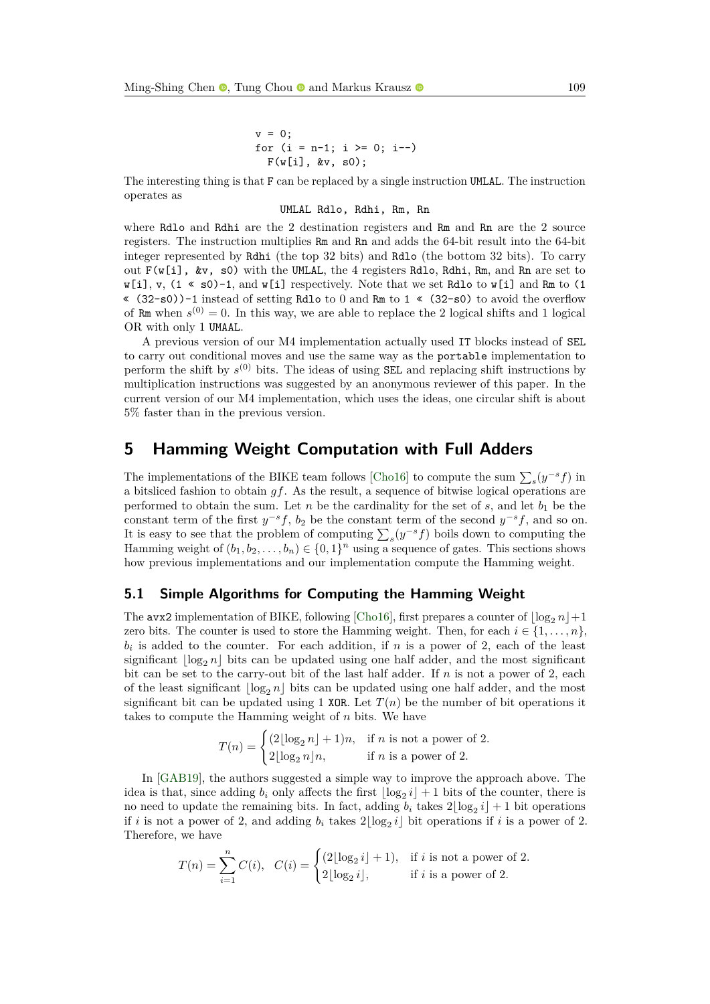v = 0; for (i = n-1; i >= 0; i--) F(w[i], &v, s0);

The interesting thing is that F can be replaced by a single instruction UMLAL. The instruction operates as

#### UMLAL Rdlo, Rdhi, Rm, Rn

where Rdlo and Rdhi are the 2 destination registers and Rm and Rn are the 2 source registers. The instruction multiplies Rm and Rn and adds the 64-bit result into the 64-bit integer represented by Rdhi (the top 32 bits) and Rdlo (the bottom 32 bits). To carry out  $F(w[i], \&v, s0)$  with the UMLAL, the 4 registers Rdlo, Rdhi, Rm, and Rn are set to  $w[i], v, (1 \ll s)$ -1, and  $w[i]$  respectively. Note that we set Rdlo to  $w[i]$  and Rm to (1 « (32-s0))-1 instead of setting Rdlo to 0 and Rm to 1 « (32-s0) to avoid the overflow of Rm when  $s^{(0)} = 0$ . In this way, we are able to replace the 2 logical shifts and 1 logical OR with only 1 UMAAL.

A previous version of our M4 implementation actually used IT blocks instead of SEL to carry out conditional moves and use the same way as the portable implementation to perform the shift by  $s^{(0)}$  bits. The ideas of using **SEL** and replacing shift instructions by multiplication instructions was suggested by an anonymous reviewer of this paper. In the current version of our M4 implementation, which uses the ideas, one circular shift is about 5% faster than in the previous version.

# <span id="page-12-0"></span>**5 Hamming Weight Computation with Full Adders**

The implementations of the BIKE team follows [\[Cho16\]](#page-24-0) to compute the sum  $\sum_{s}(y^{-s}f)$  in a bitsliced fashion to obtain *gf*. As the result, a sequence of bitwise logical operations are performed to obtain the sum. Let  $n$  be the cardinality for the set of  $s$ , and let  $b_1$  be the constant term of the first  $y^{-s}f$ ,  $b_2$  be the constant term of the second  $y^{-s}f$ , and so on. It is easy to see that the problem of computing  $\sum_{s}(y^{-s}f)$  boils down to computing the Hamming weight of  $(b_1, b_2, \ldots, b_n) \in \{0, 1\}^n$  using a sequence of gates. This sections shows how previous implementations and our implementation compute the Hamming weight.

### **5.1 Simple Algorithms for Computing the Hamming Weight**

The avx2 implementation of BIKE, following [\[Cho16\]](#page-24-0), first prepares a counter of  $\log_2 n + 1$ zero bits. The counter is used to store the Hamming weight. Then, for each  $i \in \{1, \ldots, n\}$ ,  $b_i$  is added to the counter. For each addition, if *n* is a power of 2, each of the least significant  $\log_2 n$  bits can be updated using one half adder, and the most significant bit can be set to the carry-out bit of the last half adder. If *n* is not a power of 2, each of the least significant  $\log_2 n$  bits can be updated using one half adder, and the most significant bit can be updated using 1 XOR. Let  $T(n)$  be the number of bit operations it takes to compute the Hamming weight of *n* bits. We have

$$
T(n) = \begin{cases} (2\lfloor \log_2 n \rfloor + 1)n, & \text{if } n \text{ is not a power of 2.} \\ 2\lfloor \log_2 n \rfloor n, & \text{if } n \text{ is a power of 2.} \end{cases}
$$

In [\[GAB19\]](#page-25-3), the authors suggested a simple way to improve the approach above. The idea is that, since adding  $b_i$  only affects the first  $\lfloor \log_2 i \rfloor + 1$  bits of the counter, there is no need to update the remaining bits. In fact, adding  $b_i$  takes  $2\lfloor \log_2 i \rfloor + 1$  bit operations if *i* is not a power of 2, and adding  $b_i$  takes  $2\lfloor \log_2 i \rfloor$  bit operations if *i* is a power of 2. Therefore, we have

$$
T(n) = \sum_{i=1}^{n} C(i), \quad C(i) = \begin{cases} (2\lfloor \log_2 i \rfloor + 1), & \text{if } i \text{ is not a power of 2.} \\ 2\lfloor \log_2 i \rfloor, & \text{if } i \text{ is a power of 2.} \end{cases}
$$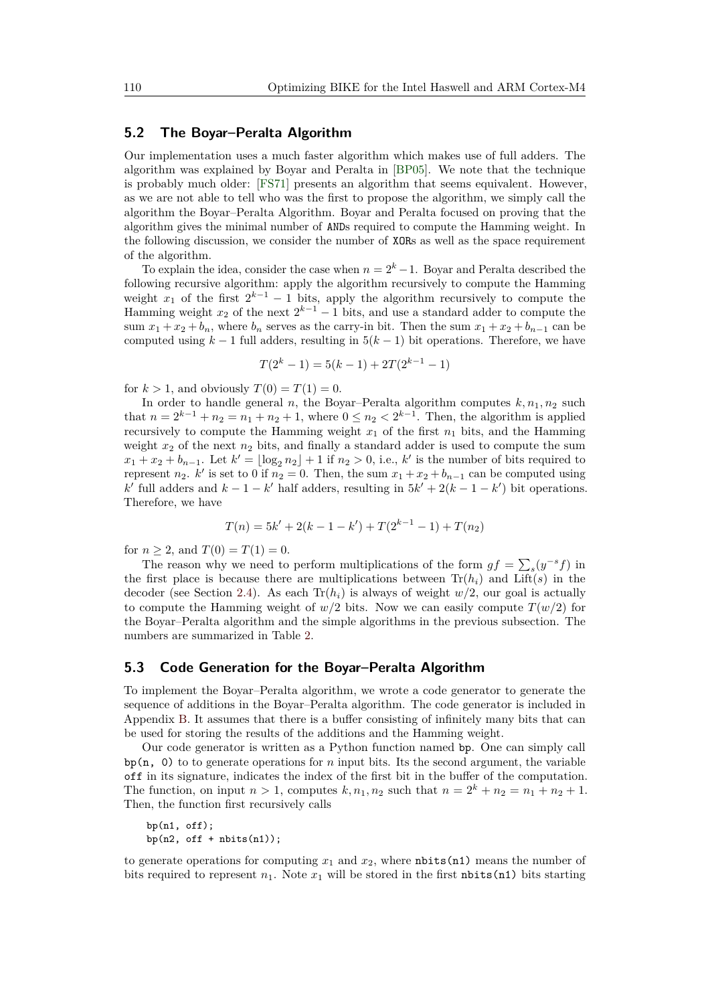#### **5.2 The Boyar–Peralta Algorithm**

Our implementation uses a much faster algorithm which makes use of full adders. The algorithm was explained by Boyar and Peralta in [\[BP05\]](#page-24-5). We note that the technique is probably much older: [\[FS71\]](#page-25-5) presents an algorithm that seems equivalent. However, as we are not able to tell who was the first to propose the algorithm, we simply call the algorithm the Boyar–Peralta Algorithm. Boyar and Peralta focused on proving that the algorithm gives the minimal number of ANDs required to compute the Hamming weight. In the following discussion, we consider the number of XORs as well as the space requirement of the algorithm.

To explain the idea, consider the case when  $n = 2<sup>k</sup> - 1$ . Boyar and Peralta described the following recursive algorithm: apply the algorithm recursively to compute the Hamming weight  $x_1$  of the first  $2^{k-1} - 1$  bits, apply the algorithm recursively to compute the Hamming weight  $x_2$  of the next  $2^{k-1} - 1$  bits, and use a standard adder to compute the sum  $x_1 + x_2 + b_n$ , where  $b_n$  serves as the carry-in bit. Then the sum  $x_1 + x_2 + b_{n-1}$  can be computed using  $k - 1$  full adders, resulting in  $5(k - 1)$  bit operations. Therefore, we have

$$
T(2k - 1) = 5(k - 1) + 2T(2k-1 - 1)
$$

for  $k > 1$ , and obviously  $T(0) = T(1) = 0$ .

In order to handle general *n*, the Boyar–Peralta algorithm computes  $k, n_1, n_2$  such that  $n = 2^{k-1} + n_2 = n_1 + n_2 + 1$ , where  $0 \le n_2 < 2^{k-1}$ . Then, the algorithm is applied recursively to compute the Hamming weight  $x_1$  of the first  $n_1$  bits, and the Hamming weight *x*<sup>2</sup> of the next *n*<sup>2</sup> bits, and finally a standard adder is used to compute the sum  $x_1 + x_2 + b_{n-1}$ . Let  $k' = \lfloor \log_2 n_2 \rfloor + 1$  if  $n_2 > 0$ , i.e.,  $k'$  is the number of bits required to represent *n*<sub>2</sub>. *k*' is set to 0 if  $n_2 = 0$ . Then, the sum  $x_1 + x_2 + b_{n-1}$  can be computed using *k*<sup> $k$ </sup> full adders and  $k - 1 - k'$  half adders, resulting in  $5k' + 2(k - 1 - k')$  bit operations. Therefore, we have

$$
T(n) = 5k' + 2(k - 1 - k') + T(2^{k-1} - 1) + T(n_2)
$$

for  $n \geq 2$ , and  $T(0) = T(1) = 0$ .

The reason why we need to perform multiplications of the form  $gf = \sum_s (y^{-s}f)$  in the first place is because there are multiplications between  $\text{Tr}(h_i)$  and  $\text{Lift}(s)$  in the decoder (see Section [2.4\)](#page-4-1). As each  $Tr(h_i)$  is always of weight  $w/2$ , our goal is actually to compute the Hamming weight of  $w/2$  bits. Now we can easily compute  $T(w/2)$  for the Boyar–Peralta algorithm and the simple algorithms in the previous subsection. The numbers are summarized in Table [2.](#page-14-1)

#### **5.3 Code Generation for the Boyar–Peralta Algorithm**

To implement the Boyar–Peralta algorithm, we wrote a code generator to generate the sequence of additions in the Boyar–Peralta algorithm. The code generator is included in Appendix [B.](#page-26-0) It assumes that there is a buffer consisting of infinitely many bits that can be used for storing the results of the additions and the Hamming weight.

Our code generator is written as a Python function named bp. One can simply call  $\mathbf{b}$ p(n, 0) to to generate operations for *n* input bits. Its the second argument, the variable off in its signature, indicates the index of the first bit in the buffer of the computation. The function, on input  $n > 1$ , computes  $k, n_1, n_2$  such that  $n = 2^k + n_2 = n_1 + n_2 + 1$ . Then, the function first recursively calls

```
bp(n1, off);
bp(n2, off + nbits(n1));
```
to generate operations for computing  $x_1$  and  $x_2$ , where nbits(n1) means the number of bits required to represent  $n_1$ . Note  $x_1$  will be stored in the first nbits(n1) bits starting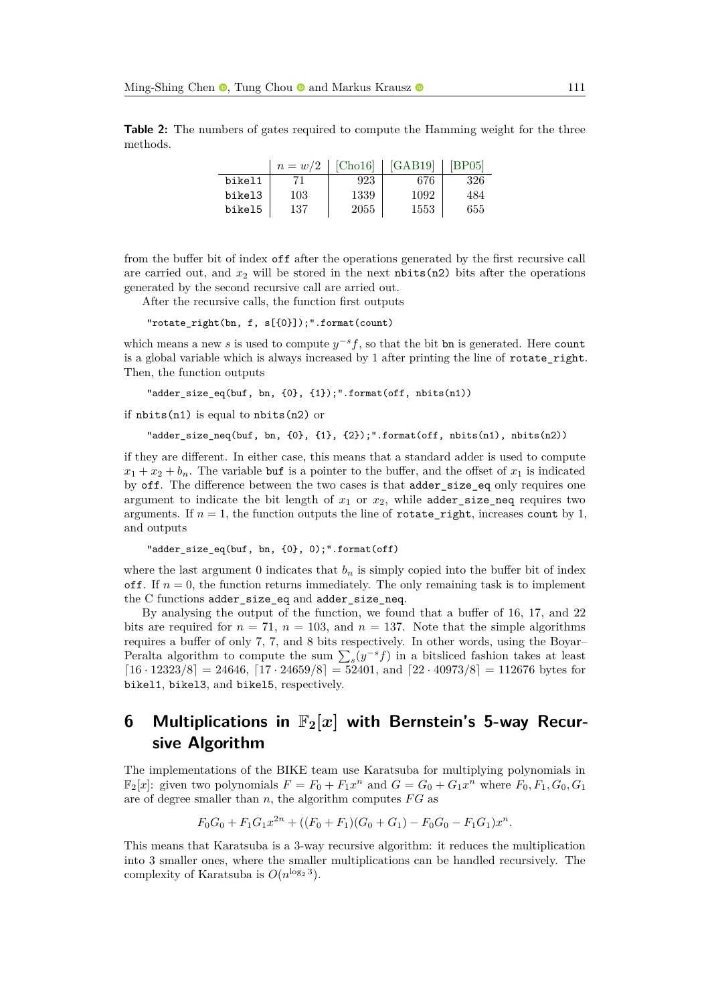<span id="page-14-1"></span>**Table 2:** The numbers of gates required to compute the Hamming weight for the three methods.

|        | $n = w/2$ | [Cho16] | [GAB19] | [BP05] |
|--------|-----------|---------|---------|--------|
| bikel1 |           | 923     | 676     | 326    |
| bikel3 | 103       | 1339    | 1092    | 484    |
| bikel5 | 137       | 2055    | 1553    | 655    |

from the buffer bit of index off after the operations generated by the first recursive call are carried out, and  $x_2$  will be stored in the next  $nbits(n2)$  bits after the operations generated by the second recursive call are arried out.

After the recursive calls, the function first outputs

"rotate\_right(bn, f, s[{0}]);".format(count)

which means a new *s* is used to compute  $y^{-s}f$ , so that the bit bn is generated. Here count is a global variable which is always increased by 1 after printing the line of rotate\_right. Then, the function outputs

"adder\_size\_eq(buf, bn, {0}, {1});".format(off, nbits(n1))

if nbits(n1) is equal to nbits(n2) or

"adder\_size\_neq(buf, bn, {0}, {1}, {2});".format(off, nbits(n1), nbits(n2))

if they are different. In either case, this means that a standard adder is used to compute  $x_1 + x_2 + b_n$ . The variable but is a pointer to the buffer, and the offset of  $x_1$  is indicated by off. The difference between the two cases is that adder\_size\_eq only requires one argument to indicate the bit length of  $x_1$  or  $x_2$ , while adder\_size\_neq requires two arguments. If  $n = 1$ , the function outputs the line of **rotate\_right**, increases **count** by 1, and outputs

"adder\_size\_eq(buf, bn, {0}, 0);".format(off)

where the last argument 0 indicates that  $b_n$  is simply copied into the buffer bit of index off. If  $n = 0$ , the function returns immediately. The only remaining task is to implement the C functions adder\_size\_eq and adder\_size\_neq.

By analysing the output of the function, we found that a buffer of 16, 17, and 22 bits are required for  $n = 71$ ,  $n = 103$ , and  $n = 137$ . Note that the simple algorithms requires a buffer of only 7, 7, and 8 bits respectively. In other words, using the Boyar– Peralta algorithm to compute the sum  $\sum_{s}(y^{-s}f)$  in a bitsliced fashion takes at least  $[16 \cdot 12323/8] = 24646$ ,  $[17 \cdot 24659/8] = 52401$ , and  $[22 \cdot 40973/8] = 112676$  bytes for bikel1, bikel3, and bikel5, respectively.

# <span id="page-14-0"></span>**6 Multiplications in** F**2[***x***] with Bernstein's 5-way Recursive Algorithm**

The implementations of the BIKE team use Karatsuba for multiplying polynomials in  $\mathbb{F}_2[x]$ : given two polynomials  $F = F_0 + F_1x^n$  and  $G = G_0 + G_1x^n$  where  $F_0, F_1, G_0, G_1$ are of degree smaller than *n*, the algorithm computes *F G* as

$$
F_0G_0 + F_1G_1x^{2n} + ((F_0 + F_1)(G_0 + G_1) - F_0G_0 - F_1G_1)x^n.
$$

This means that Karatsuba is a 3-way recursive algorithm: it reduces the multiplication into 3 smaller ones, where the smaller multiplications can be handled recursively. The complexity of Karatsuba is  $O(n^{\log_2 3})$ .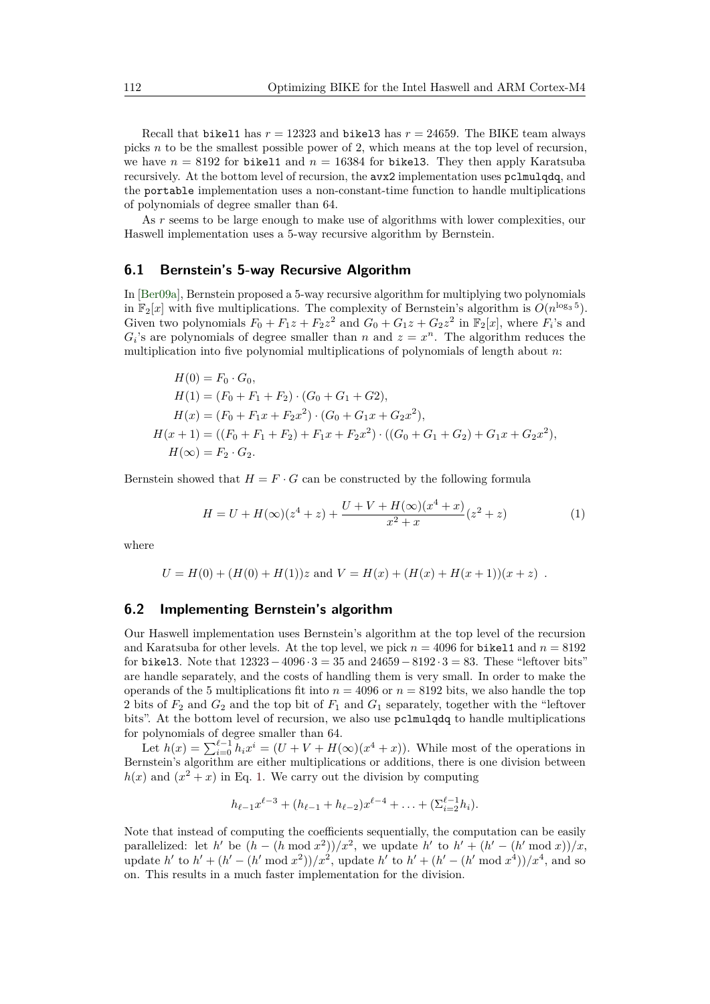Recall that bikel1 has  $r = 12323$  and bikel3 has  $r = 24659$ . The BIKE team always picks *n* to be the smallest possible power of 2, which means at the top level of recursion, we have  $n = 8192$  for bikel1 and  $n = 16384$  for bikel1. They then apply Karatsuba recursively. At the bottom level of recursion, the avx2 implementation uses pclmulqdq, and the portable implementation uses a non-constant-time function to handle multiplications of polynomials of degree smaller than 64.

As *r* seems to be large enough to make use of algorithms with lower complexities, our Haswell implementation uses a 5-way recursive algorithm by Bernstein.

#### **6.1 Bernstein's 5-way Recursive Algorithm**

In [\[Ber09a\]](#page-24-6), Bernstein proposed a 5-way recursive algorithm for multiplying two polynomials in  $\mathbb{F}_2[x]$  with five multiplications. The complexity of Bernstein's algorithm is  $O(n^{\log_3 5})$ . Given two polynomials  $F_0 + F_1z + F_2z^2$  and  $G_0 + G_1z + G_2z^2$  in  $\mathbb{F}_2[x]$ , where  $F_i$ 's and  $G_i$ 's are polynomials of degree smaller than *n* and  $z = x^n$ . The algorithm reduces the multiplication into five polynomial multiplications of polynomials of length about *n*:

$$
H(0) = F_0 \cdot G_0,
$$
  
\n
$$
H(1) = (F_0 + F_1 + F_2) \cdot (G_0 + G_1 + G_2),
$$
  
\n
$$
H(x) = (F_0 + F_1x + F_2x^2) \cdot (G_0 + G_1x + G_2x^2),
$$
  
\n
$$
H(x + 1) = ((F_0 + F_1 + F_2) + F_1x + F_2x^2) \cdot ((G_0 + G_1 + G_2) + G_1x + G_2x^2),
$$
  
\n
$$
H(\infty) = F_2 \cdot G_2.
$$

Bernstein showed that  $H = F \cdot G$  can be constructed by the following formula

<span id="page-15-0"></span>
$$
H = U + H(\infty)(z^4 + z) + \frac{U + V + H(\infty)(x^4 + x)}{x^2 + x}(z^2 + z)
$$
 (1)

where

$$
U = H(0) + (H(0) + H(1))z
$$
 and  $V = H(x) + (H(x) + H(x + 1))(x + z)$ .

#### **6.2 Implementing Bernstein's algorithm**

Our Haswell implementation uses Bernstein's algorithm at the top level of the recursion and Karatsuba for other levels. At the top level, we pick  $n = 4096$  for bikel1 and  $n = 8192$ for bikel3. Note that  $12323-4096 \cdot 3 = 35$  and  $24659-8192 \cdot 3 = 83$ . These "leftover bits" are handle separately, and the costs of handling them is very small. In order to make the operands of the 5 multiplications fit into  $n = 4096$  or  $n = 8192$  bits, we also handle the top 2 bits of *F*<sup>2</sup> and *G*<sup>2</sup> and the top bit of *F*<sup>1</sup> and *G*<sup>1</sup> separately, together with the "leftover bits". At the bottom level of recursion, we also use pclmulqdq to handle multiplications for polynomials of degree smaller than 64.

Let  $h(x) = \sum_{i=0}^{\ell-1} h_i x^i = (U + V + H(\infty)(x^4 + x))$ . While most of the operations in Bernstein's algorithm are either multiplications or additions, there is one division between  $h(x)$  and  $(x^2 + x)$  in Eq. [1.](#page-15-0) We carry out the division by computing

$$
h_{\ell-1}x^{\ell-3} + (h_{\ell-1} + h_{\ell-2})x^{\ell-4} + \ldots + (\Sigma_{i=2}^{\ell-1}h_i).
$$

Note that instead of computing the coefficients sequentially, the computation can be easily parallelized: let *h*<sup> $\prime$ </sup> be  $(h - (h \mod x^2))/x^2$ , we update *h*<sup> $\prime$ </sup> to  $h' + (h' - (h' \mod x))/x$ , update *h*<sup> $\ell$ </sup> to *h*<sup> $\ell$ </sup> + (*h*<sup> $\ell$ </sup> - (*h*<sup> $\ell$ </sup> mod *x*<sup>2</sup>))/*x*<sup>2</sup>, update *h*<sup> $\ell$ </sup> to *h*<sup> $\ell$ </sup> + (*h*<sup> $\ell$ </sup> - (*h*<sup> $\ell$ </sup> mod *x*<sup>4</sup>))/*x*<sup>4</sup>, and so on. This results in a much faster implementation for the division.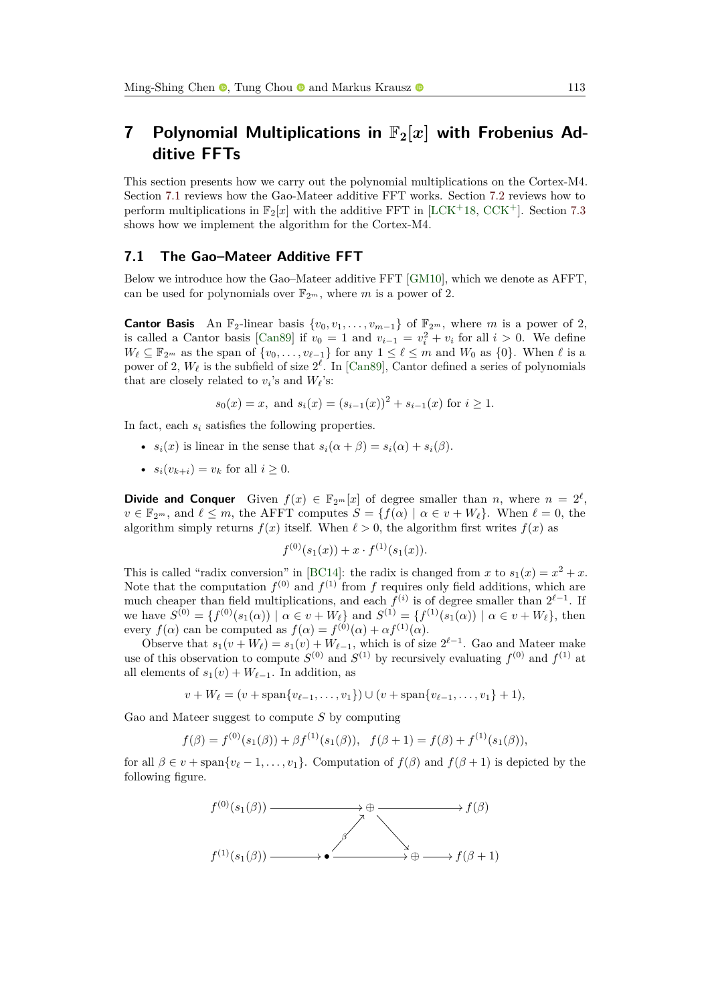# <span id="page-16-0"></span>**7** Polynomial Multiplications in  $\mathbb{F}_2|x|$  with Frobenius Ad**ditive FFTs**

This section presents how we carry out the polynomial multiplications on the Cortex-M4. Section [7.1](#page-16-1) reviews how the Gao-Mateer additive FFT works. Section [7.2](#page-17-0) reviews how to perform multiplications in  $\mathbb{F}_2[x]$  with the additive FFT in [\[LCK](#page-25-6)+18, [CCK](#page-24-8)+]. Section [7.3](#page-18-0) shows how we implement the algorithm for the Cortex-M4.

#### <span id="page-16-1"></span>**7.1 The Gao–Mateer Additive FFT**

Below we introduce how the Gao–Mateer additive FFT [\[GM10\]](#page-25-7), which we denote as AFFT, can be used for polynomials over  $\mathbb{F}_{2^m}$ , where *m* is a power of 2.

**Cantor Basis** An  $\mathbb{F}_2$ -linear basis  $\{v_0, v_1, \ldots, v_{m-1}\}$  of  $\mathbb{F}_{2^m}$ , where *m* is a power of 2, is called a Cantor basis [\[Can89\]](#page-24-9) if  $v_0 = 1$  and  $v_{i-1} = v_i^2 + v_i$  for all  $i > 0$ . We define  $W_{\ell} \subseteq \mathbb{F}_{2^m}$  as the span of  $\{v_0, \ldots, v_{\ell-1}\}$  for any  $1 \leq \ell \leq m$  and  $W_0$  as  $\{0\}$ . When  $\ell$  is a power of 2,  $W_{\ell}$  is the subfield of size  $2^{\ell}$ . In [\[Can89\]](#page-24-9), Cantor defined a series of polynomials that are closely related to  $v_i$ 's and  $W_\ell$ 's:

$$
s_0(x) = x
$$
, and  $s_i(x) = (s_{i-1}(x))^2 + s_{i-1}(x)$  for  $i \ge 1$ .

In fact, each *s<sup>i</sup>* satisfies the following properties.

- $s_i(x)$  is linear in the sense that  $s_i(\alpha + \beta) = s_i(\alpha) + s_i(\beta)$ .
- $s_i(v_{k+i}) = v_k$  for all  $i \geq 0$ .

**Divide and Conquer** Given  $f(x) \in \mathbb{F}_{2^m}[x]$  of degree smaller than *n*, where  $n = 2^{\ell}$ ,  $v \in \mathbb{F}_{2^m}$ , and  $\ell \leq m$ , the AFFT computes  $S = \{f(\alpha) \mid \alpha \in v + W_{\ell}\}.$  When  $\ell = 0$ , the algorithm simply returns  $f(x)$  itself. When  $\ell > 0$ , the algorithm first writes  $f(x)$  as

$$
f^{(0)}(s_1(x)) + x \cdot f^{(1)}(s_1(x)).
$$

This is called "radix conversion" in [\[BC14\]](#page-24-10): the radix is changed from *x* to  $s_1(x) = x^2 + x$ . Note that the computation  $f^{(0)}$  and  $f^{(1)}$  from f requires only field additions, which are much cheaper than field multiplications, and each  $f^{(i)}$  is of degree smaller than  $2^{\ell-1}$ . If  $\mathbf{w} \in \mathbb{S}^{(0)} = \{f^{(0)}(s_1(\alpha)) \mid \alpha \in v + W_{\ell}\}\$ and  $S^{(1)} = \{f^{(1)}(s_1(\alpha)) \mid \alpha \in v + W_{\ell}\}\$ , then every  $f(\alpha)$  can be computed as  $f(\alpha) = f^{(0)}(\alpha) + \alpha f^{(1)}(\alpha)$ .

Observe that  $s_1(v + W_\ell) = s_1(v) + W_{\ell-1}$ , which is of size  $2^{\ell-1}$ . Gao and Mateer make use of this observation to compute  $S^{(0)}$  and  $S^{(1)}$  by recursively evaluating  $f^{(0)}$  and  $f^{(1)}$  at all elements of  $s_1(v) + W_{\ell-1}$ . In addition, as

$$
v + W_{\ell} = (v + \text{span}\{v_{\ell-1}, \ldots, v_1\}) \cup (v + \text{span}\{v_{\ell-1}, \ldots, v_1\} + 1),
$$

Gao and Mateer suggest to compute *S* by computing

$$
f(\beta) = f^{(0)}(s_1(\beta)) + \beta f^{(1)}(s_1(\beta)), \quad f(\beta + 1) = f(\beta) + f^{(1)}(s_1(\beta)),
$$

for all  $\beta \in v + \text{span}\{v_\ell - 1, \ldots, v_1\}$ . Computation of  $f(\beta)$  and  $f(\beta + 1)$  is depicted by the following figure.

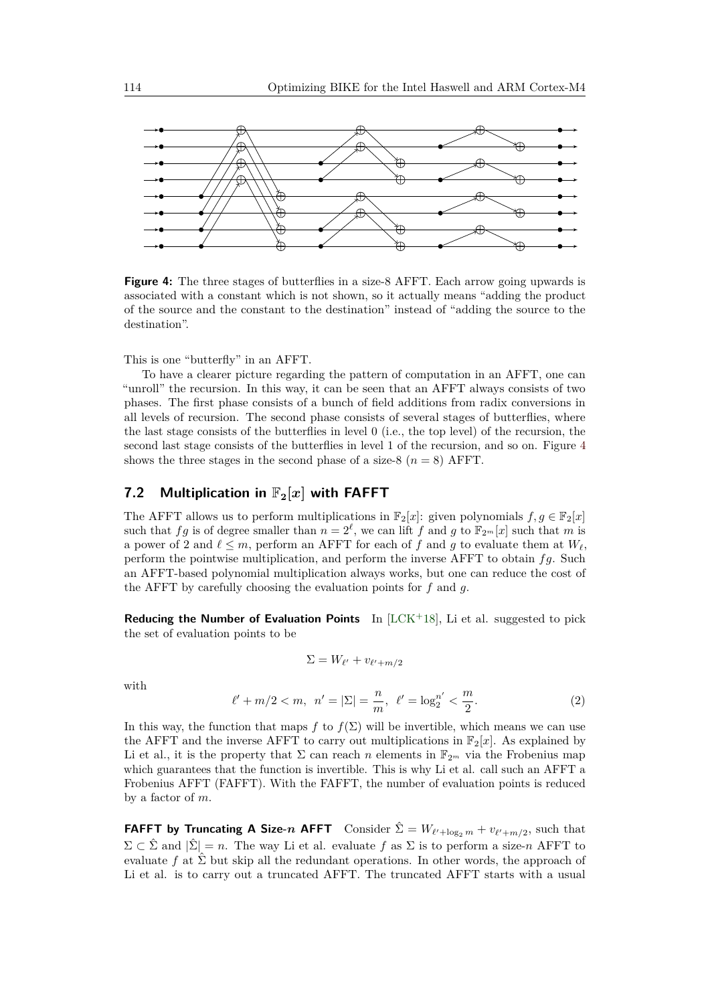<span id="page-17-1"></span>

**Figure 4:** The three stages of butterflies in a size-8 AFFT. Each arrow going upwards is associated with a constant which is not shown, so it actually means "adding the product of the source and the constant to the destination" instead of "adding the source to the destination".

This is one "butterfly" in an AFFT.

To have a clearer picture regarding the pattern of computation in an AFFT, one can "unroll" the recursion. In this way, it can be seen that an AFFT always consists of two phases. The first phase consists of a bunch of field additions from radix conversions in all levels of recursion. The second phase consists of several stages of butterflies, where the last stage consists of the butterflies in level 0 (i.e., the top level) of the recursion, the second last stage consists of the butterflies in level 1 of the recursion, and so on. Figure [4](#page-17-1) shows the three stages in the second phase of a size-8  $(n = 8)$  AFFT.

# <span id="page-17-0"></span>**7.2** Multiplication in  $\mathbb{F}_2[x]$  with FAFFT

The AFFT allows us to perform multiplications in  $\mathbb{F}_2[x]$ : given polynomials  $f, g \in \mathbb{F}_2[x]$ such that *fg* is of degree smaller than  $n = 2^{\ell}$ , we can lift *f* and *g* to  $\mathbb{F}_{2^m}[x]$  such that *m* is a power of 2 and  $\ell \leq m$ , perform an AFFT for each of f and g to evaluate them at  $W_\ell$ , perform the pointwise multiplication, and perform the inverse AFFT to obtain *fg*. Such an AFFT-based polynomial multiplication always works, but one can reduce the cost of the AFFT by carefully choosing the evaluation points for *f* and *g*.

**Reducing the Number of Evaluation Points** In [\[LCK](#page-25-6)+18], Li et al. suggested to pick the set of evaluation points to be

$$
\Sigma = W_{\ell'} + v_{\ell' + m/2}
$$

with

<span id="page-17-2"></span>
$$
\ell' + m/2 < m, \ \ n' = |\Sigma| = \frac{n}{m}, \ \ \ell' = \log_2^{n'} < \frac{m}{2}.\tag{2}
$$

In this way, the function that maps *f* to  $f(\Sigma)$  will be invertible, which means we can use the AFFT and the inverse AFFT to carry out multiplications in  $\mathbb{F}_2[x]$ . As explained by Li et al., it is the property that  $\Sigma$  can reach *n* elements in  $\mathbb{F}_{2^m}$  via the Frobenius map which guarantees that the function is invertible. This is why Li et al. call such an AFFT a Frobenius AFFT (FAFFT). With the FAFFT, the number of evaluation points is reduced by a factor of *m*.

**FAFFT by Truncating A Size-***n* **AFFT** Consider  $\hat{\Sigma} = W_{\ell'+\log_2 m} + v_{\ell'+m/2}$ , such that  $\Sigma \subset \hat{\Sigma}$  and  $|\hat{\Sigma}| = n$ . The way Li et al. evaluate f as  $\Sigma$  is to perform a size-n AFFT to evaluate  $f$  at  $\hat{\Sigma}$  but skip all the redundant operations. In other words, the approach of Li et al. is to carry out a truncated AFFT. The truncated AFFT starts with a usual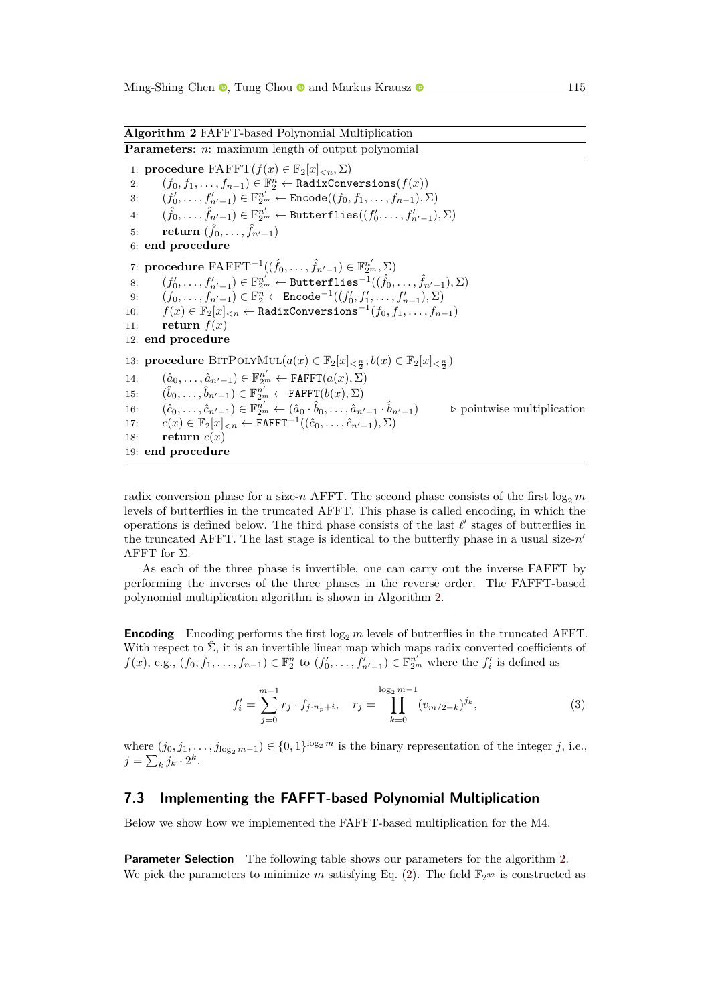<span id="page-18-1"></span>1: **procedure**  $\text{FAFFT}(f(x) \in \mathbb{F}_2[x]_{\leq n}, \Sigma)$ 

3:  $(f'_0, ..., f'_{n'-1})$  ∈  $\mathbb{F}_{2^m}^{n'}$  ← Encode $((f_0, f_1, ..., f_{n-1}), \Sigma)$  $4:$  $\hat{f}_0, \ldots, \hat{f}_{n'-1}) \in \mathbb{F}_{2^m}^{n'} \leftarrow \texttt{Butterflies}((f'_0, \ldots, f'_{n'-1}), \Sigma)$  $\qquad \qquad \textbf{return}\,\,(\hat{f}_0,\ldots,\hat{f}_{n'-1})$ 6: **end procedure** 7: **procedure**  $\text{FAFFT}^{-1}((\hat{f}_0, \ldots, \hat{f}_{n'-1}) \in \mathbb{F}_{2^m}^{n'}, \Sigma)$ 8:  $(f'_0, ..., f'_{n'-1}) \in \mathbb{F}_{2^m}^{n'} \leftarrow \text{Butterflies}^{-1}((\hat{f}_0, ..., \hat{f}_{n'-1}), \Sigma)$ 9:  $(f_0, ..., f_{n'-1}) \in \mathbb{F}_2^n \leftarrow \texttt{Encode}^{-1}((f'_0, f'_1, ..., f'_{n-1}), \Sigma)$ 10:  $f(x) \in \mathbb{F}_2[x]_{\leq n} \leftarrow$  RadixConversions<sup>-1</sup> $(f_0, f_1, \ldots, f_{n-1})$ 11: **return**  $f(x)$ 12: **end procedure** 13: **procedure**  $\text{BITPOLYMUL}(a(x) \in \mathbb{F}_2[x]_{\leq \frac{n}{2}}, b(x) \in \mathbb{F}_2[x]_{\leq \frac{n}{2}})$ 14:  $(\hat{a}_0, \ldots, \hat{a}_{n'-1}) \in \mathbb{F}_{2^m}^{n'} \leftarrow \texttt{FAFFT}(a(x), \Sigma)$ 15: (  $(\hat{b}_0, \ldots, \hat{b}_{n'-1}) \in \mathbb{F}_{2^m}^{n'} \leftarrow \texttt{FAFFT}(b(x), \Sigma)$ 16:  $(\hat{c}_0, \ldots, \hat{c}_{n'-1}) \in \mathbb{F}_{2^m}^{n'} \leftarrow (\hat{a}_0 \cdot \hat{b}_0, \ldots, \hat{a}_{n'-1}).$ ˆ*bn*0−1) *.* pointwise multiplication 17:  $c(x) \in \mathbb{F}_2[x]_{\le n} \leftarrow \texttt{FAFFT}^{-1}((\hat{c}_0, \ldots, \hat{c}_{n'-1}), \Sigma)$ 18: **return**  $c(x)$ 19: **end procedure**

radix conversion phase for a size-*n* AFFT. The second phase consists of the first  $\log_2 m$ levels of butterflies in the truncated AFFT. This phase is called encoding, in which the operations is defined below. The third phase consists of the last  $\ell'$  stages of butterflies in the truncated AFFT. The last stage is identical to the butterfly phase in a usual size- $n'$ AFFT for  $\Sigma$ .

As each of the three phase is invertible, one can carry out the inverse FAFFT by performing the inverses of the three phases in the reverse order. The FAFFT-based polynomial multiplication algorithm is shown in Algorithm [2.](#page-18-1)

**Encoding** Encoding performs the first  $\log_2 m$  levels of butterflies in the truncated AFFT. With respect to  $\hat{\Sigma}$ , it is an invertible linear map which maps radix converted coefficients of  $f(x)$ , e.g.,  $(f_0, f_1, \ldots, f_{n-1}) \in \mathbb{F}_2^n$  to  $(f'_0, \ldots, f'_{n'-1}) \in \mathbb{F}_{2^m}^{n'}$  where the  $f'_i$  is defined as

$$
f_i' = \sum_{j=0}^{m-1} r_j \cdot f_{j \cdot n_p + i}, \quad r_j = \prod_{k=0}^{\log_2 m - 1} (v_{m/2 - k})^{j_k}, \tag{3}
$$

where  $(j_0, j_1, \ldots, j_{\log_2 m-1}) \in \{0, 1\}^{\log_2 m}$  is the binary representation of the integer *j*, i.e.,  $j = \sum_{k} j_k \cdot 2^k$ .

#### <span id="page-18-0"></span>**7.3 Implementing the FAFFT-based Polynomial Multiplication**

Below we show how we implemented the FAFFT-based multiplication for the M4.

**Parameter Selection** The following table shows our parameters for the algorithm [2.](#page-18-1) We pick the parameters to minimize m satisfying Eq.  $(2)$ . The field  $\mathbb{F}_{2^{32}}$  is constructed as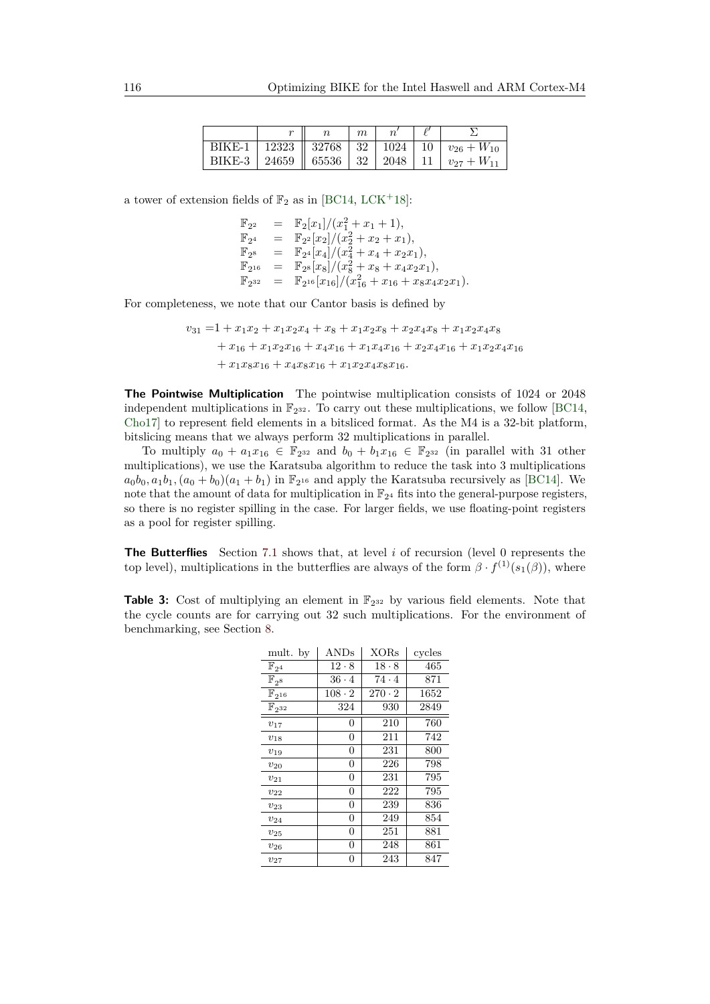|  | m |  |                                                             |
|--|---|--|-------------------------------------------------------------|
|  |   |  | BIKE-1   12323   32768   32   1024   10   $v_{26} + W_{10}$ |
|  |   |  | BIKE-3   24659   65536   32   2048   11   $v_{27} + W_{11}$ |

a tower of extension fields of  $\mathbb{F}_2$  as in [\[BC14,](#page-24-10) [LCK](#page-25-6)+18]:

$$
\begin{array}{rcl}\n\mathbb{F}_{2^2} & = & \mathbb{F}_2[x_1]/(x_1^2 + x_1 + 1), \\
\mathbb{F}_{2^4} & = & \mathbb{F}_{2^2}[x_2]/(x_2^2 + x_2 + x_1), \\
\mathbb{F}_{2^8} & = & \mathbb{F}_{2^4}[x_4]/(x_4^2 + x_4 + x_2x_1), \\
\mathbb{F}_{2^{16}} & = & \mathbb{F}_{2^8}[x_8]/(x_8^2 + x_8 + x_4x_2x_1), \\
\mathbb{F}_{2^{32}} & = & \mathbb{F}_{2^{16}}[x_{16}]/(x_{16}^2 + x_{16} + x_8x_4x_2x_1).\n\end{array}
$$

For completeness, we note that our Cantor basis is defined by

$$
v_{31} = 1 + x_1x_2 + x_1x_2x_4 + x_8 + x_1x_2x_8 + x_2x_4x_8 + x_1x_2x_4x_8
$$
  
+  $x_{16} + x_1x_2x_{16} + x_4x_{16} + x_1x_4x_{16} + x_2x_4x_{16} + x_1x_2x_4x_{16}$   
+  $x_1x_8x_{16} + x_4x_8x_{16} + x_1x_2x_4x_8x_{16}$ .

**The Pointwise Multiplication** The pointwise multiplication consists of 1024 or 2048 independent multiplications in  $\mathbb{F}_{2^{32}}$ . To carry out these multiplications, we follow [\[BC14,](#page-24-10) [Cho17\]](#page-24-7) to represent field elements in a bitsliced format. As the M4 is a 32-bit platform, bitslicing means that we always perform 32 multiplications in parallel.

To multiply  $a_0 + a_1x_{16} \in \mathbb{F}_{2^{32}}$  and  $b_0 + b_1x_{16} \in \mathbb{F}_{2^{32}}$  (in parallel with 31 other multiplications), we use the Karatsuba algorithm to reduce the task into 3 multiplications  $a_0b_0, a_1b_1, (a_0 + b_0)(a_1 + b_1)$  in  $\mathbb{F}_{2^{16}}$  and apply the Karatsuba recursively as [\[BC14\]](#page-24-10). We note that the amount of data for multiplication in  $\mathbb{F}_{2^4}$  fits into the general-purpose registers, so there is no register spilling in the case. For larger fields, we use floating-point registers as a pool for register spilling.

**The Butterflies** Section [7.1](#page-16-1) shows that, at level *i* of recursion (level 0 represents the top level), multiplications in the butterflies are always of the form  $\beta \cdot f^{(1)}(s_1(\beta))$ , where

<span id="page-19-0"></span>**Table 3:** Cost of multiplying an element in  $\mathbb{F}_{2^{32}}$  by various field elements. Note that the cycle counts are for carrying out 32 such multiplications. For the environment of benchmarking, see Section [8.](#page-21-0)

| mult. by              | $\operatorname{ANDs}$ | <b>XORs</b>   | cycles |
|-----------------------|-----------------------|---------------|--------|
| $\mathbb{F}_{2^4}$    | $12 \cdot 8$          | $18 \cdot 8$  | 465    |
| $\mathbb{F}_{2^8}$    | $36 \cdot 4$          | $74 \cdot 4$  | 871    |
| $\mathbb{F}_{2^{16}}$ | $108 \cdot 2$         | $270 \cdot 2$ | 1652   |
| $\mathbb{F}_{2^{32}}$ | 324                   | 930           | 2849   |
| $v_{17}$              | $\overline{0}$        | 210           | 760    |
| $v_{18}$              | $\overline{0}$        | 211           | 742    |
| $v_{19}$              | 0                     | 231           | 800    |
| $v_{20}$              | 0                     | 226           | 798    |
| $v_{21}$              | $\overline{0}$        | 231           | 795    |
| $v_{22}$              | 0                     | 222           | 795    |
| $v_{23}$              | $\overline{0}$        | 239           | 836    |
| $\,v_{24}$            | 0                     | 249           | 854    |
| $v_{25}$              | $\overline{0}$        | 251           | 881    |
| $v_{26}$              | 0                     | 248           | 861    |
| $\upsilon_{27}$       | 0                     | 243           | 847    |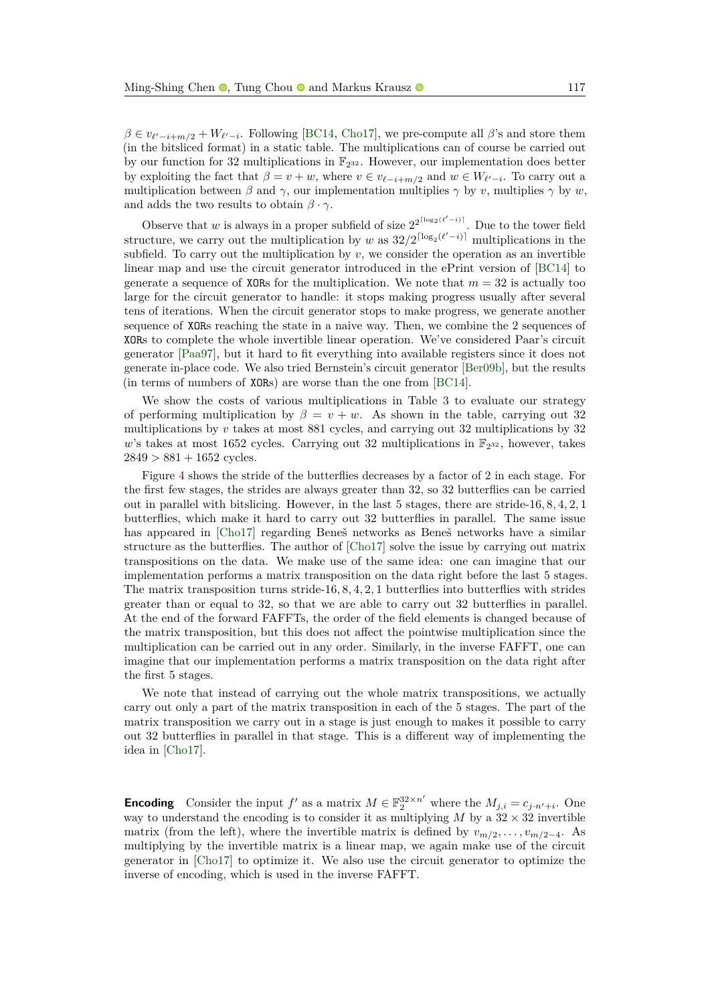$\beta \in v_{\ell'-i+m/2} + W_{\ell'-i}$ . Following [\[BC14,](#page-24-10) [Cho17\]](#page-24-7), we pre-compute all  $\beta$ 's and store them (in the bitsliced format) in a static table. The multiplications can of course be carried out by our function for 32 multiplications in  $\mathbb{F}_{2^{32}}$ . However, our implementation does better by exploiting the fact that  $\beta = v + w$ , where  $v \in v_{\ell-i+m/2}$  and  $w \in W_{\ell'-i}$ . To carry out a multiplication between  $\beta$  and  $\gamma$ , our implementation multiplies  $\gamma$  by *v*, multiplies  $\gamma$  by *w*, and adds the two results to obtain  $\beta \cdot \gamma$ .

Observe that *w* is always in a proper subfield of size  $2^{2^{\lceil \log_2(\ell'-i) \rceil}}$ . Due to the tower field structure, we carry out the multiplication by *w* as  $32/2^{\lceil \log_2(\ell'-i) \rceil}$  multiplications in the subfield. To carry out the multiplication by  $v$ , we consider the operation as an invertible linear map and use the circuit generator introduced in the ePrint version of [\[BC14\]](#page-24-10) to generate a sequence of XORs for the multiplication. We note that  $m = 32$  is actually too large for the circuit generator to handle: it stops making progress usually after several tens of iterations. When the circuit generator stops to make progress, we generate another sequence of XORs reaching the state in a naive way. Then, we combine the 2 sequences of XORs to complete the whole invertible linear operation. We've considered Paar's circuit generator [\[Paa97\]](#page-25-8), but it hard to fit everything into available registers since it does not generate in-place code. We also tried Bernstein's circuit generator [\[Ber09b\]](#page-24-11), but the results (in terms of numbers of XORs) are worse than the one from [\[BC14\]](#page-24-10).

We show the costs of various multiplications in Table [3](#page-19-0) to evaluate our strategy of performing multiplication by  $\beta = v + w$ . As shown in the table, carrying out 32 multiplications by *v* takes at most 881 cycles, and carrying out 32 multiplications by 32 w's takes at most 1652 cycles. Carrying out 32 multiplications in  $\mathbb{F}_{2^{32}}$ , however, takes  $2849 > 881 + 1652$  cycles.

Figure [4](#page-17-1) shows the stride of the butterflies decreases by a factor of 2 in each stage. For the first few stages, the strides are always greater than 32, so 32 butterflies can be carried out in parallel with bitslicing. However, in the last 5 stages, there are stride-16*,* 8*,* 4*,* 2*,* 1 butterflies, which make it hard to carry out 32 butterflies in parallel. The same issue has appeared in [\[Cho17\]](#page-24-7) regarding Beneš networks as Beneš networks have a similar structure as the butterflies. The author of [\[Cho17\]](#page-24-7) solve the issue by carrying out matrix transpositions on the data. We make use of the same idea: one can imagine that our implementation performs a matrix transposition on the data right before the last 5 stages. The matrix transposition turns stride-16*,* 8*,* 4*,* 2*,* 1 butterflies into butterflies with strides greater than or equal to 32, so that we are able to carry out 32 butterflies in parallel. At the end of the forward FAFFTs, the order of the field elements is changed because of the matrix transposition, but this does not affect the pointwise multiplication since the multiplication can be carried out in any order. Similarly, in the inverse FAFFT, one can imagine that our implementation performs a matrix transposition on the data right after the first 5 stages.

We note that instead of carrying out the whole matrix transpositions, we actually carry out only a part of the matrix transposition in each of the 5 stages. The part of the matrix transposition we carry out in a stage is just enough to makes it possible to carry out 32 butterflies in parallel in that stage. This is a different way of implementing the idea in [\[Cho17\]](#page-24-7).

**Encoding** Consider the input  $f'$  as a matrix  $M \in \mathbb{F}_2^{32 \times n'}$  where the  $M_{j,i} = c_{j \cdot n'+i}$ . One way to understand the encoding is to consider it as multiplying  $M$  by a  $32 \times 32$  invertible matrix (from the left), where the invertible matrix is defined by  $v_{m/2}, \ldots, v_{m/2-4}$ . As multiplying by the invertible matrix is a linear map, we again make use of the circuit generator in [\[Cho17\]](#page-24-7) to optimize it. We also use the circuit generator to optimize the inverse of encoding, which is used in the inverse FAFFT.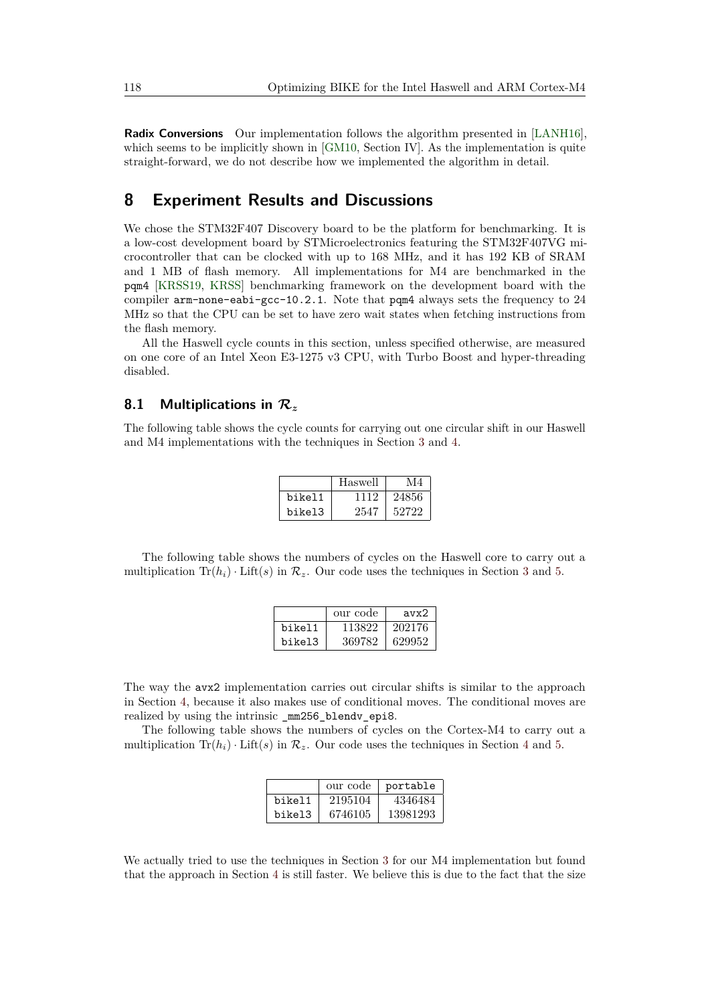**Radix Conversions** Our implementation follows the algorithm presented in [\[LANH16\]](#page-25-9), which seems to be implicitly shown in [\[GM10,](#page-25-7) Section IV]. As the implementation is quite straight-forward, we do not describe how we implemented the algorithm in detail.

# <span id="page-21-0"></span>**8 Experiment Results and Discussions**

We chose the STM32F407 Discovery board to be the platform for benchmarking. It is a low-cost development board by STMicroelectronics featuring the STM32F407VG microcontroller that can be clocked with up to 168 MHz, and it has 192 KB of SRAM and 1 MB of flash memory. All implementations for M4 are benchmarked in the pqm4 [\[KRSS19,](#page-25-10) [KRSS\]](#page-25-1) benchmarking framework on the development board with the compiler arm-none-eabi-gcc-10.2.1. Note that pqm4 always sets the frequency to 24 MHz so that the CPU can be set to have zero wait states when fetching instructions from the flash memory.

All the Haswell cycle counts in this section, unless specified otherwise, are measured on one core of an Intel Xeon E3-1275 v3 CPU, with Turbo Boost and hyper-threading disabled.

### <span id="page-21-1"></span>**8.1 Multiplications in R***<sup>z</sup>*

The following table shows the cycle counts for carrying out one circular shift in our Haswell and M4 implementations with the techniques in Section [3](#page-5-0) and [4.](#page-9-0)

|        | Haswell | M4    |
|--------|---------|-------|
| bikel1 | 1112    | 24856 |
| bikel3 | 2547    | 52722 |

The following table shows the numbers of cycles on the Haswell core to carry out a multiplication  $\text{Tr}(h_i) \cdot \text{Lift}(s)$  in  $\mathcal{R}_z$ . Our code uses the techniques in Section [3](#page-5-0) and [5.](#page-12-0)

|        | our code | $\text{avx}2$ |
|--------|----------|---------------|
| bikel1 | 113822   | 202176        |
| bikel3 | 369782   | 629952        |

The way the avx2 implementation carries out circular shifts is similar to the approach in Section [4,](#page-9-0) because it also makes use of conditional moves. The conditional moves are realized by using the intrinsic \_mm256\_blendv\_epi8.

The following table shows the numbers of cycles on the Cortex-M4 to carry out a multiplication  $\text{Tr}(h_i) \cdot \text{Lift}(s)$  in  $\mathcal{R}_z$ . Our code uses the techniques in Section [4](#page-9-0) and [5.](#page-12-0)

|        | our code | portable |
|--------|----------|----------|
| bikel1 | 2195104  | 4346484  |
| bikel3 | 6746105  | 13981293 |

We actually tried to use the techniques in Section [3](#page-5-0) for our M4 implementation but found that the approach in Section [4](#page-9-0) is still faster. We believe this is due to the fact that the size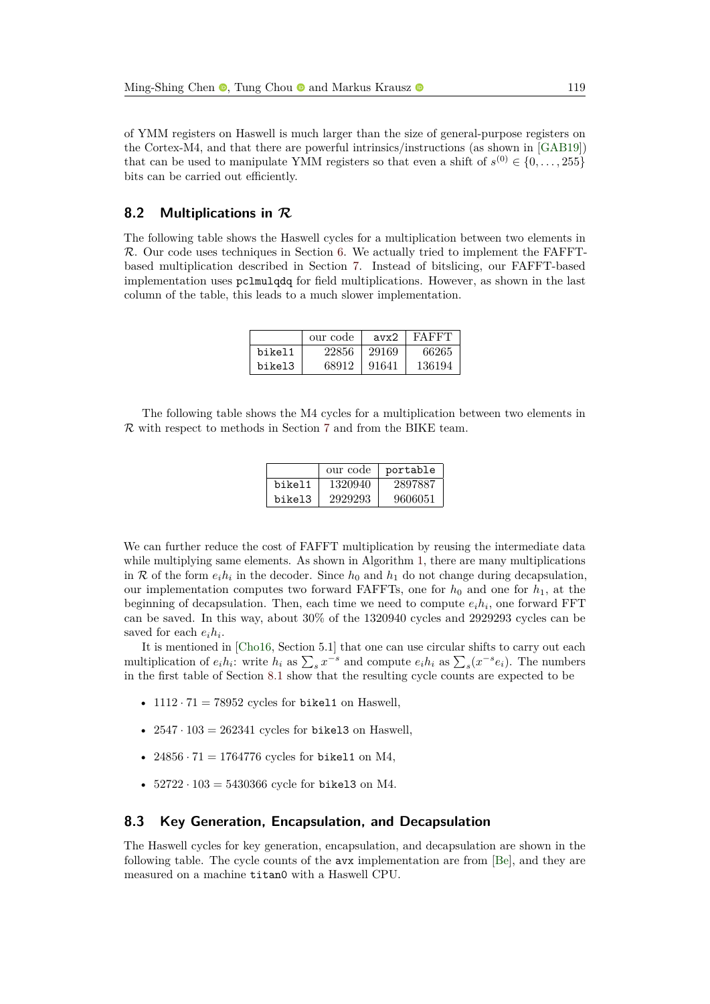of YMM registers on Haswell is much larger than the size of general-purpose registers on the Cortex-M4, and that there are powerful intrinsics/instructions (as shown in [\[GAB19\]](#page-25-3)) that can be used to manipulate YMM registers so that even a shift of  $s^{(0)} \in \{0, \ldots, 255\}$ bits can be carried out efficiently.

### **8.2 Multiplications in R**

The following table shows the Haswell cycles for a multiplication between two elements in R. Our code uses techniques in Section [6.](#page-14-0) We actually tried to implement the FAFFTbased multiplication described in Section [7.](#page-16-0) Instead of bitslicing, our FAFFT-based implementation uses pclmulqdq for field multiplications. However, as shown in the last column of the table, this leads to a much slower implementation.

|        | our code | $\frac{1}{2}$ | FAFFT  |
|--------|----------|---------------|--------|
| bikel1 | 22856    | 29169         | 66265  |
| bikel3 | 68912    | 91641         | 136194 |

The following table shows the M4 cycles for a multiplication between two elements in R with respect to methods in Section [7](#page-16-0) and from the BIKE team.

|        | our code | portable |
|--------|----------|----------|
| bikel1 | 1320940  | 2897887  |
| bikel3 | 2929293  | 9606051  |

We can further reduce the cost of FAFFT multiplication by reusing the intermediate data while multiplying same elements. As shown in Algorithm [1,](#page-6-0) there are many multiplications in R of the form  $e_i h_i$  in the decoder. Since  $h_0$  and  $h_1$  do not change during decapsulation, our implementation computes two forward FAFFTs, one for  $h_0$  and one for  $h_1$ , at the beginning of decapsulation. Then, each time we need to compute  $e_i h_i$ , one forward FFT can be saved. In this way, about 30% of the 1320940 cycles and 2929293 cycles can be saved for each  $e_i h_i$ .

It is mentioned in [\[Cho16,](#page-24-0) Section 5.1] that one can use circular shifts to carry out each multiplication of  $e_i h_i$ : write  $h_i$  as  $\sum_s x^{-s}$  and compute  $e_i h_i$  as  $\sum_s (x^{-s} e_i)$ . The numbers in the first table of Section [8.1](#page-21-1) show that the resulting cycle counts are expected to be

- $1112 \cdot 71 = 78952$  cycles for bikel1 on Haswell.
- $2547 \cdot 103 = 262341$  cycles for bikel3 on Haswell,
- 24856  $\cdot$  71 = 1764776 cycles for bikel1 on M4,
- $52722 \cdot 103 = 5430366$  cycle for bikel3 on M4.

#### **8.3 Key Generation, Encapsulation, and Decapsulation**

The Haswell cycles for key generation, encapsulation, and decapsulation are shown in the following table. The cycle counts of the avx implementation are from [\[Be\]](#page-24-3), and they are measured on a machine titan0 with a Haswell CPU.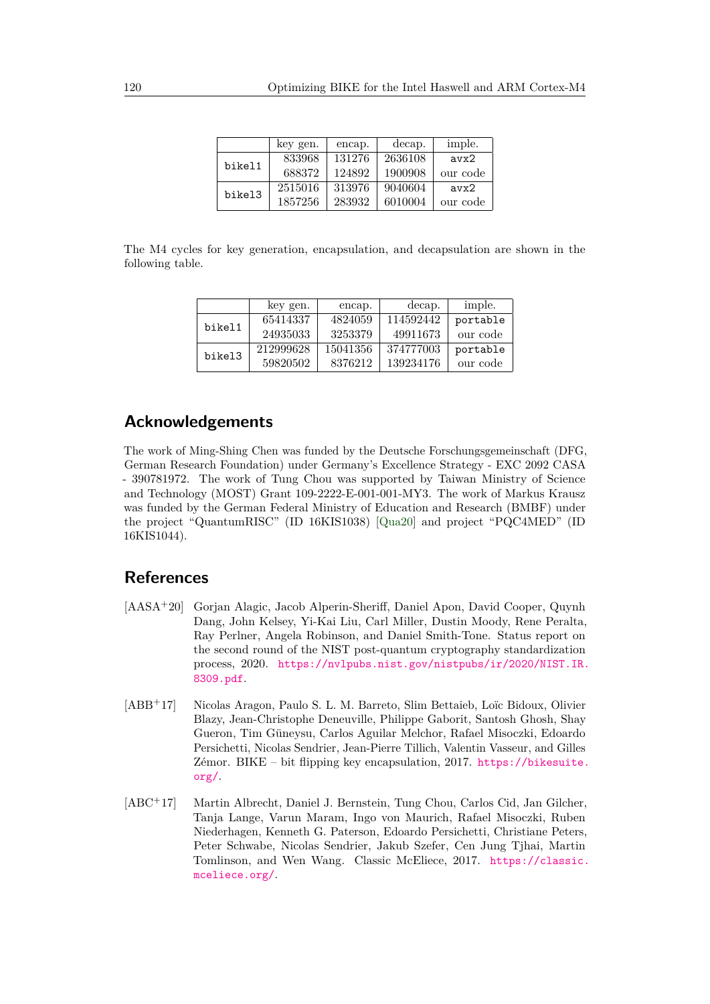|        | key gen. | encap. | decap.  | imple.   |
|--------|----------|--------|---------|----------|
| bikel1 | 833968   | 131276 | 2636108 | avx2     |
|        | 688372   | 124892 | 1900908 | our code |
| bikel3 | 2515016  | 313976 | 9040604 | avx2     |
|        | 1857256  | 283932 | 6010004 | our code |

The M4 cycles for key generation, encapsulation, and decapsulation are shown in the following table.

|        | key gen.  | encap.   | decap.    | imple.   |
|--------|-----------|----------|-----------|----------|
| bikel1 | 65414337  | 4824059  | 114592442 | portable |
|        | 24935033  | 3253379  | 49911673  | our code |
| bikel3 | 212999628 | 15041356 | 374777003 | portable |
|        | 59820502  | 8376212  | 139234176 | our code |

# **Acknowledgements**

The work of Ming-Shing Chen was funded by the Deutsche Forschungsgemeinschaft (DFG, German Research Foundation) under Germany's Excellence Strategy - EXC 2092 CASA - 390781972. The work of Tung Chou was supported by Taiwan Ministry of Science and Technology (MOST) Grant 109-2222-E-001-001-MY3. The work of Markus Krausz was funded by the German Federal Ministry of Education and Research (BMBF) under the project "QuantumRISC" (ID 16KIS1038) [\[Qua20\]](#page-25-11) and project "PQC4MED" (ID 16KIS1044).

# **References**

- <span id="page-23-1"></span>[AASA<sup>+</sup>20] Gorjan Alagic, Jacob Alperin-Sheriff, Daniel Apon, David Cooper, Quynh Dang, John Kelsey, Yi-Kai Liu, Carl Miller, Dustin Moody, Rene Peralta, Ray Perlner, Angela Robinson, and Daniel Smith-Tone. Status report on the second round of the NIST post-quantum cryptography standardization process, 2020. [https://nvlpubs.nist.gov/nistpubs/ir/2020/NIST.IR.](https://nvlpubs.nist.gov/nistpubs/ir/2020/NIST.IR.8309.pdf) [8309.pdf](https://nvlpubs.nist.gov/nistpubs/ir/2020/NIST.IR.8309.pdf).
- <span id="page-23-0"></span>[ABB<sup>+</sup>17] Nicolas Aragon, Paulo S. L. M. Barreto, Slim Bettaieb, Loïc Bidoux, Olivier Blazy, Jean-Christophe Deneuville, Philippe Gaborit, Santosh Ghosh, Shay Gueron, Tim Güneysu, Carlos Aguilar Melchor, Rafael Misoczki, Edoardo Persichetti, Nicolas Sendrier, Jean-Pierre Tillich, Valentin Vasseur, and Gilles Zémor. BIKE – bit flipping key encapsulation, 2017. [https://bikesuite.](https://bikesuite.org/) [org/](https://bikesuite.org/).
- <span id="page-23-2"></span>[ABC<sup>+</sup>17] Martin Albrecht, Daniel J. Bernstein, Tung Chou, Carlos Cid, Jan Gilcher, Tanja Lange, Varun Maram, Ingo von Maurich, Rafael Misoczki, Ruben Niederhagen, Kenneth G. Paterson, Edoardo Persichetti, Christiane Peters, Peter Schwabe, Nicolas Sendrier, Jakub Szefer, Cen Jung Tjhai, Martin Tomlinson, and Wen Wang. Classic McEliece, 2017. [https://classic.](https://classic.mceliece.org/) [mceliece.org/](https://classic.mceliece.org/).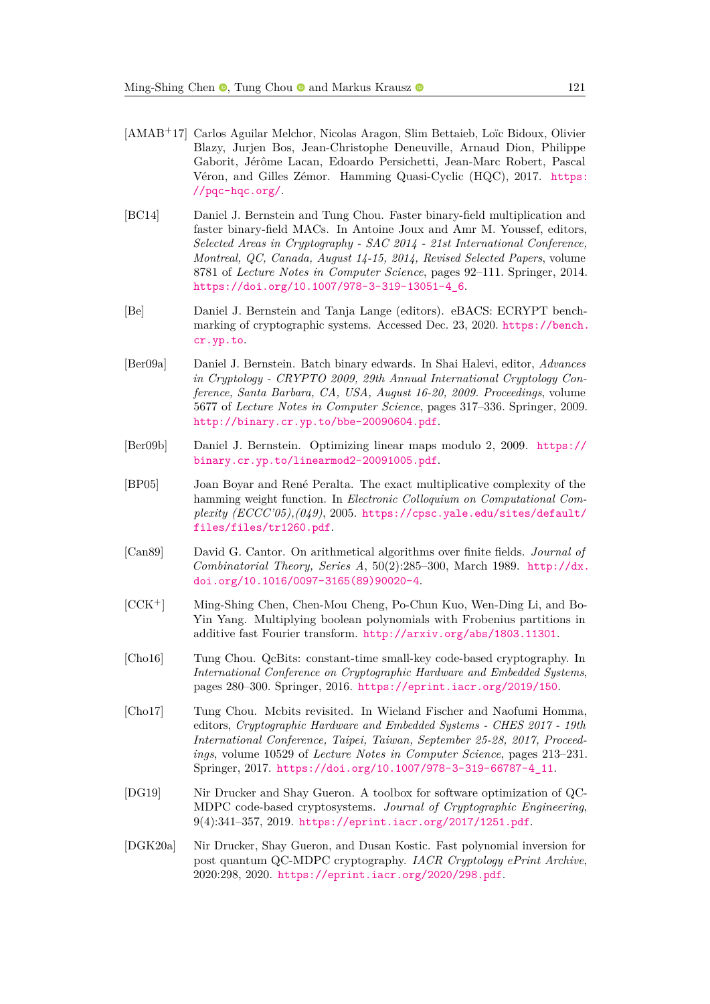- <span id="page-24-4"></span>[AMAB<sup>+</sup>17] Carlos Aguilar Melchor, Nicolas Aragon, Slim Bettaieb, Loïc Bidoux, Olivier Blazy, Jurjen Bos, Jean-Christophe Deneuville, Arnaud Dion, Philippe Gaborit, Jérôme Lacan, Edoardo Persichetti, Jean-Marc Robert, Pascal Véron, and Gilles Zémor. Hamming Quasi-Cyclic (HQC), 2017. [https:](https://pqc-hqc.org/) [//pqc-hqc.org/](https://pqc-hqc.org/).
- <span id="page-24-10"></span>[BC14] Daniel J. Bernstein and Tung Chou. Faster binary-field multiplication and faster binary-field MACs. In Antoine Joux and Amr M. Youssef, editors, *Selected Areas in Cryptography - SAC 2014 - 21st International Conference, Montreal, QC, Canada, August 14-15, 2014, Revised Selected Papers*, volume 8781 of *Lecture Notes in Computer Science*, pages 92–111. Springer, 2014. [https://doi.org/10.1007/978-3-319-13051-4\\_6](https://doi.org/10.1007/978-3-319-13051-4_6).
- <span id="page-24-3"></span>[Be] Daniel J. Bernstein and Tanja Lange (editors). eBACS: ECRYPT benchmarking of cryptographic systems. Accessed Dec. 23, 2020. [https://bench.](https://bench.cr.yp.to) [cr.yp.to](https://bench.cr.yp.to).
- <span id="page-24-6"></span>[Ber09a] Daniel J. Bernstein. Batch binary edwards. In Shai Halevi, editor, *Advances in Cryptology - CRYPTO 2009, 29th Annual International Cryptology Conference, Santa Barbara, CA, USA, August 16-20, 2009. Proceedings*, volume 5677 of *Lecture Notes in Computer Science*, pages 317–336. Springer, 2009. <http://binary.cr.yp.to/bbe-20090604.pdf>.
- <span id="page-24-11"></span>[Ber09b] Daniel J. Bernstein. Optimizing linear maps modulo 2, 2009. [https://](https://binary.cr.yp.to/linearmod2-20091005.pdf) [binary.cr.yp.to/linearmod2-20091005.pdf](https://binary.cr.yp.to/linearmod2-20091005.pdf).
- <span id="page-24-5"></span>[BP05] Joan Boyar and René Peralta. The exact multiplicative complexity of the hamming weight function. In *Electronic Colloquium on Computational Complexity (ECCC'05),(049)*, 2005. [https://cpsc.yale.edu/sites/default/](https://cpsc.yale.edu/sites/default/files/files/tr1260.pdf) [files/files/tr1260.pdf](https://cpsc.yale.edu/sites/default/files/files/tr1260.pdf).
- <span id="page-24-9"></span>[Can89] David G. Cantor. On arithmetical algorithms over finite fields. *Journal of Combinatorial Theory, Series A*, 50(2):285–300, March 1989. [http://dx.](http://dx.doi.org/10.1016/0097-3165(89)90020-4) [doi.org/10.1016/0097-3165\(89\)90020-4](http://dx.doi.org/10.1016/0097-3165(89)90020-4).
- <span id="page-24-8"></span>[CCK<sup>+</sup>] Ming-Shing Chen, Chen-Mou Cheng, Po-Chun Kuo, Wen-Ding Li, and Bo-Yin Yang. Multiplying boolean polynomials with Frobenius partitions in additive fast Fourier transform. <http://arxiv.org/abs/1803.11301>.
- <span id="page-24-0"></span>[Cho16] Tung Chou. QcBits: constant-time small-key code-based cryptography. In *International Conference on Cryptographic Hardware and Embedded Systems*, pages 280–300. Springer, 2016. <https://eprint.iacr.org/2019/150>.
- <span id="page-24-7"></span>[Cho17] Tung Chou. Mcbits revisited. In Wieland Fischer and Naofumi Homma, editors, *Cryptographic Hardware and Embedded Systems - CHES 2017 - 19th International Conference, Taipei, Taiwan, September 25-28, 2017, Proceedings*, volume 10529 of *Lecture Notes in Computer Science*, pages 213–231. Springer, 2017. [https://doi.org/10.1007/978-3-319-66787-4\\_11](https://doi.org/10.1007/978-3-319-66787-4_11).
- <span id="page-24-1"></span>[DG19] Nir Drucker and Shay Gueron. A toolbox for software optimization of QC-MDPC code-based cryptosystems. *Journal of Cryptographic Engineering*, 9(4):341–357, 2019. <https://eprint.iacr.org/2017/1251.pdf>.
- <span id="page-24-2"></span>[DGK20a] Nir Drucker, Shay Gueron, and Dusan Kostic. Fast polynomial inversion for post quantum QC-MDPC cryptography. *IACR Cryptology ePrint Archive*, 2020:298, 2020. <https://eprint.iacr.org/2020/298.pdf>.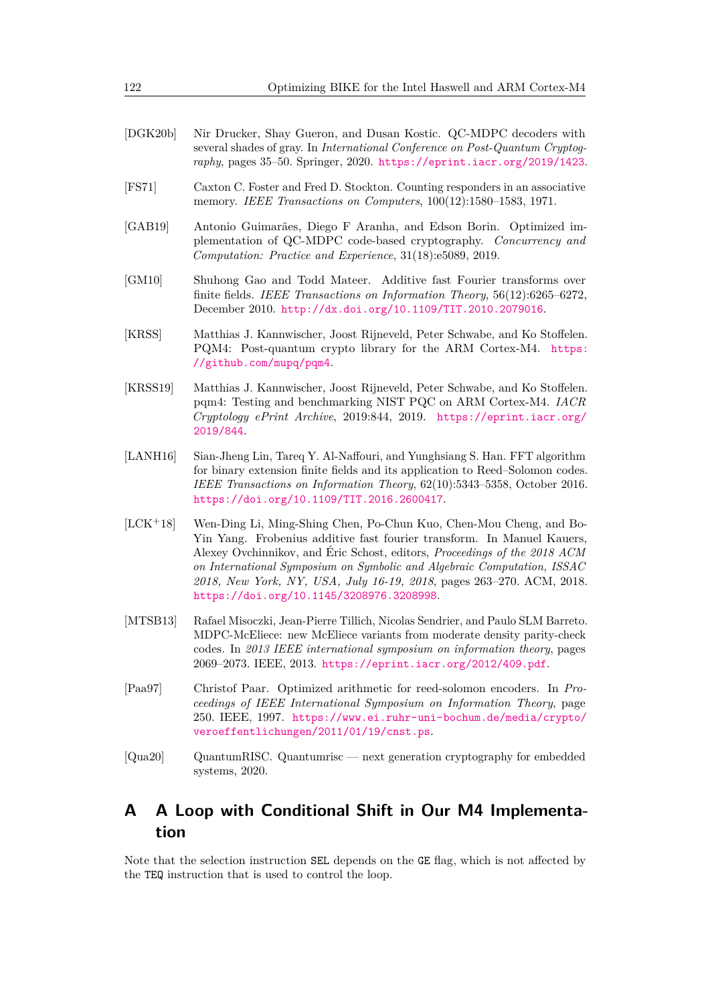- <span id="page-25-2"></span>[DGK20b] Nir Drucker, Shay Gueron, and Dusan Kostic. QC-MDPC decoders with several shades of gray. In *International Conference on Post-Quantum Cryptography*, pages 35–50. Springer, 2020. <https://eprint.iacr.org/2019/1423>.
- <span id="page-25-5"></span>[FS71] Caxton C. Foster and Fred D. Stockton. Counting responders in an associative memory. *IEEE Transactions on Computers*, 100(12):1580–1583, 1971.
- <span id="page-25-3"></span>[GAB19] Antonio Guimarães, Diego F Aranha, and Edson Borin. Optimized implementation of QC-MDPC code-based cryptography. *Concurrency and Computation: Practice and Experience*, 31(18):e5089, 2019.
- <span id="page-25-7"></span>[GM10] Shuhong Gao and Todd Mateer. Additive fast Fourier transforms over finite fields. *IEEE Transactions on Information Theory*, 56(12):6265–6272, December 2010. <http://dx.doi.org/10.1109/TIT.2010.2079016>.
- <span id="page-25-1"></span>[KRSS] Matthias J. Kannwischer, Joost Rijneveld, Peter Schwabe, and Ko Stoffelen. PQM4: Post-quantum crypto library for the ARM Cortex-M4. [https:](https://github.com/mupq/pqm4) [//github.com/mupq/pqm4](https://github.com/mupq/pqm4).
- <span id="page-25-10"></span>[KRSS19] Matthias J. Kannwischer, Joost Rijneveld, Peter Schwabe, and Ko Stoffelen. pqm4: Testing and benchmarking NIST PQC on ARM Cortex-M4. *IACR Cryptology ePrint Archive*, 2019:844, 2019. [https://eprint.iacr.org/](https://eprint.iacr.org/2019/844) [2019/844](https://eprint.iacr.org/2019/844).
- <span id="page-25-9"></span>[LANH16] Sian-Jheng Lin, Tareq Y. Al-Naffouri, and Yunghsiang S. Han. FFT algorithm for binary extension finite fields and its application to Reed–Solomon codes. *IEEE Transactions on Information Theory*, 62(10):5343–5358, October 2016. <https://doi.org/10.1109/TIT.2016.2600417>.
- <span id="page-25-6"></span>[LCK<sup>+</sup>18] Wen-Ding Li, Ming-Shing Chen, Po-Chun Kuo, Chen-Mou Cheng, and Bo-Yin Yang. Frobenius additive fast fourier transform. In Manuel Kauers, Alexey Ovchinnikov, and Éric Schost, editors, *Proceedings of the 2018 ACM on International Symposium on Symbolic and Algebraic Computation, ISSAC 2018, New York, NY, USA, July 16-19, 2018*, pages 263–270. ACM, 2018. <https://doi.org/10.1145/3208976.3208998>.
- <span id="page-25-0"></span>[MTSB13] Rafael Misoczki, Jean-Pierre Tillich, Nicolas Sendrier, and Paulo SLM Barreto. MDPC-McEliece: new McEliece variants from moderate density parity-check codes. In *2013 IEEE international symposium on information theory*, pages 2069–2073. IEEE, 2013. <https://eprint.iacr.org/2012/409.pdf>.
- <span id="page-25-8"></span>[Paa97] Christof Paar. Optimized arithmetic for reed-solomon encoders. In *Proceedings of IEEE International Symposium on Information Theory*, page 250. IEEE, 1997. [https://www.ei.ruhr-uni-bochum.de/media/crypto/](https://www.ei.ruhr-uni-bochum.de/media/crypto/veroeffentlichungen/2011/01/19/cnst.ps) [veroeffentlichungen/2011/01/19/cnst.ps](https://www.ei.ruhr-uni-bochum.de/media/crypto/veroeffentlichungen/2011/01/19/cnst.ps).
- <span id="page-25-11"></span>[Qua20] QuantumRISC. Quantumrisc — next generation cryptography for embedded systems, 2020.

# <span id="page-25-4"></span>**A A Loop with Conditional Shift in Our M4 Implementation**

Note that the selection instruction SEL depends on the GE flag, which is not affected by the TEQ instruction that is used to control the loop.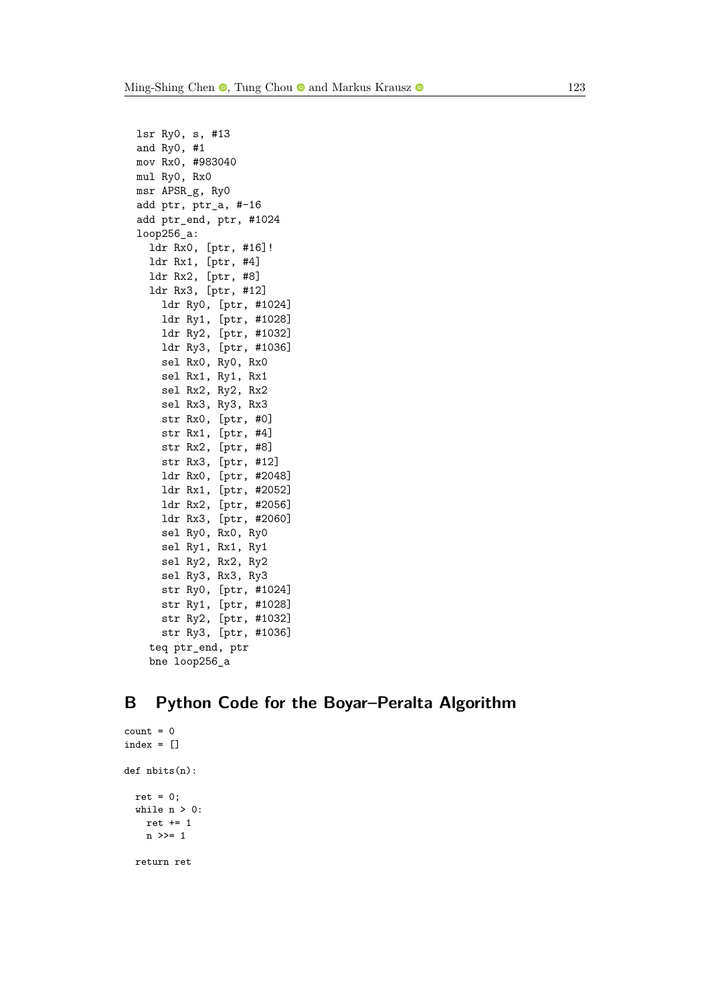lsr Ry0, s, #13 and Ry0, #1 mov Rx0, #983040 mul Ry0, Rx0 msr APSR\_g, Ry0 add ptr, ptr\_a, #-16 add ptr\_end, ptr, #1024 loop256\_a: ldr Rx0, [ptr, #16]! ldr Rx1, [ptr, #4] ldr Rx2, [ptr, #8] ldr Rx3, [ptr, #12] ldr Ry0, [ptr, #1024] ldr Ry1, [ptr, #1028] ldr Ry2, [ptr, #1032] ldr Ry3, [ptr, #1036] sel Rx0, Ry0, Rx0 sel Rx1, Ry1, Rx1 sel Rx2, Ry2, Rx2 sel Rx3, Ry3, Rx3 str Rx0, [ptr, #0] str Rx1, [ptr, #4] str Rx2, [ptr, #8] str Rx3, [ptr, #12] ldr Rx0, [ptr, #2048] ldr Rx1, [ptr, #2052] ldr Rx2, [ptr, #2056] ldr Rx3, [ptr, #2060] sel Ry0, Rx0, Ry0 sel Ry1, Rx1, Ry1 sel Ry2, Rx2, Ry2 sel Ry3, Rx3, Ry3 str Ry0, [ptr, #1024] str Ry1, [ptr, #1028] str Ry2, [ptr, #1032] str Ry3, [ptr, #1036] teq ptr\_end, ptr bne loop256\_a

# <span id="page-26-0"></span>**B Python Code for the Boyar–Peralta Algorithm**

```
count = 0index = []def nbits(n):
 ret = 0;
 while n > 0:
   ret += 1
   n >>= 1
  return ret
```